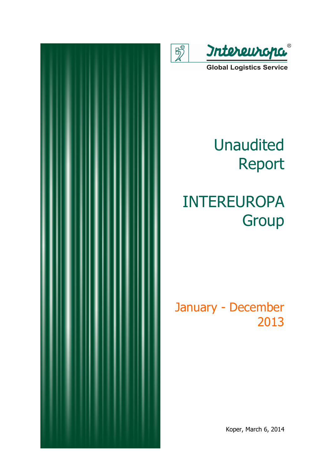

 $\overline{\mathbb{R}}$ 

**Global Logistics Service** 

# Unaudited Report

# INTEREUROPA **Group**

## January - December 2013

Koper, March 6, 2014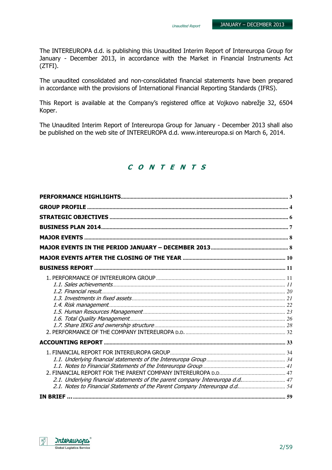The INTEREUROPA d.d. is publishing this Unaudited Interim Report of Intereuropa Group for January - December 2013, in accordance with the Market in Financial Instruments Act (ZTFI).

The unaudited consolidated and non-consolidated financial statements have been prepared in accordance with the provisions of International Financial Reporting Standards (IFRS).

This Report is available at the Company's registered office at Vojkovo nabrežje 32, 6504 Koper.

The Unaudited Interim Report of Intereuropa Group for January - December 2013 shall also be published on the web site of INTEREUROPA d.d. www.intereuropa.si on March 6, 2014.

### C O N T E N T S

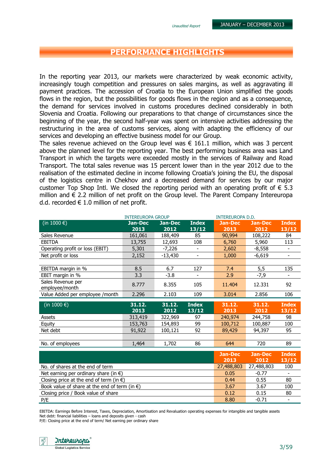## PERFORMANCE HIGHLIGHTS

In the reporting year 2013, our markets were characterized by weak economic activity, increasingly tough competition and pressures on sales margins, as well as aggravating ill payment practices. The accession of Croatia to the European Union simplified the goods flows in the region, but the possibilities for goods flows in the region and as a consequence, the demand for services involved in customs procedures declined considerably in both Slovenia and Croatia. Following our preparations to that change of circumstances since the beginning of the year, the second half-year was spent on intensive activities addressing the restructuring in the area of customs services, along with adapting the efficiency of our services and developing an effective business model for our Group.

The sales revenue achieved on the Group level was  $\epsilon$  161.1 million, which was 3 percent above the planned level for the reporting year. The best performing business area was Land Transport in which the targets were exceeded mostly in the services of Railway and Road Transport. The total sales revenue was 15 percent lower than in the year 2012 due to the realisation of the estimated decline in income following Croatia's joining the EU, the disposal of the logistics centre in Chekhov and a decreased demand for services by our major customer Top Shop Intl. We closed the reporting period with an operating profit of  $\epsilon$  5.3 million and  $\epsilon$  2.2 million of net profit on the Group level. The Parent Company Intereuropa d.d. recorded  $\in$  1.0 million of net profit.

|                                                         | <b>INTEREUROPA GROUP</b> |           |                          |                    | <b>INTEREUROPA D.D.</b> |                          |  |
|---------------------------------------------------------|--------------------------|-----------|--------------------------|--------------------|-------------------------|--------------------------|--|
| (in 1000 $\epsilon$ )                                   | <b>Jan-Dec</b>           | Jan-Dec   | <b>Index</b>             | <b>Jan-Dec</b>     | <b>Jan-Dec</b>          | <b>Index</b>             |  |
|                                                         | 2013                     | 2012      | 13/12                    | 2013               | 2012                    | 13/12                    |  |
| Sales Revenue                                           | 161,061                  | 188,409   | 85                       | 90,994             | 108,222                 | 84                       |  |
| <b>EBITDA</b>                                           | 13,755                   | 12,693    | 108                      | 6,760              | 5,960                   | 113                      |  |
| Operating profit or loss (EBIT)                         | 5,301                    | $-7,226$  | $\overline{\phantom{a}}$ | 2,602              | $-8,558$                | $\overline{\phantom{a}}$ |  |
| Net profit or loss                                      | 2,152                    | $-13,430$ | $\blacksquare$           | 1,000              | $-6,619$                | $\overline{\phantom{a}}$ |  |
|                                                         |                          |           |                          |                    |                         |                          |  |
| EBITDA margin in %                                      | 8.5                      | 6.7       | 127                      | 7.4                | 5,5                     | 135                      |  |
| EBIT margin in %                                        | 3.3                      | $-3.8$    |                          | 2.9                | $-7,9$                  |                          |  |
| Sales Revenue per                                       | 8.777                    | 8.355     | 105                      | 11.404             | 12.331                  | 92                       |  |
| employee/month                                          |                          |           |                          |                    |                         |                          |  |
| Value Added per employee / month                        | 2.296                    | 2.103     | 109                      | 3.014              | 2.856                   | 106                      |  |
| (in 1000 $\epsilon$ )                                   | 31.12.                   | 31.12.    | <b>Index</b>             | 31.12.             | 31.12.                  | <b>Index</b>             |  |
|                                                         | 2013                     | 2012      | 13/12                    | 2013               | 2012                    | 13/12                    |  |
| Assets                                                  | 313,419                  | 322,969   | 97                       | 240,974            | 244,758                 | 98                       |  |
| Equity                                                  | 153,763                  | 154,893   | 99                       | 100,712            | 100,887                 | 100                      |  |
| Net debt                                                | 91,922                   | 100,121   | 92                       | 89,429             | 94,397                  | 95                       |  |
|                                                         |                          |           |                          |                    |                         |                          |  |
| No. of employees                                        | 1,464                    | 1,702     | 86                       | 644                | 720                     | 89                       |  |
|                                                         |                          |           |                          |                    |                         |                          |  |
|                                                         |                          |           |                          | <b>Jan-Dec</b>     | <b>Jan-Dec</b>          | <b>Index</b>             |  |
|                                                         |                          |           |                          | 2013<br>27,488,803 | 2012                    | 13/12                    |  |
| No. of shares at the end of term                        |                          |           |                          |                    | 27,488,803              | 100                      |  |
| Net earning per ordinary share (in $\epsilon$ )         |                          |           |                          |                    | $-0.77$                 |                          |  |
| Closing price at the end of term (in $\epsilon$ )       |                          |           |                          |                    | 0.55                    | 80                       |  |
| Book value of share at the end of term (in $\epsilon$ ) | 3.67                     | 3.67      | 100                      |                    |                         |                          |  |
| Closing price / Book value of share                     |                          |           |                          | 0.12               | 0.15                    | 80                       |  |
| P/E                                                     |                          |           |                          | 8.80               | $-0.71$                 | $\overline{\phantom{a}}$ |  |

EBITDA: Earnings Before Interest, Taxes, Depreciation, Amortisation and Revaluation operating expenses for intangible and tangible assets Net debt: financial liabilities – loans and deposits given - cash

P/E: Closing price at the end of term/ Net earning per ordinary share

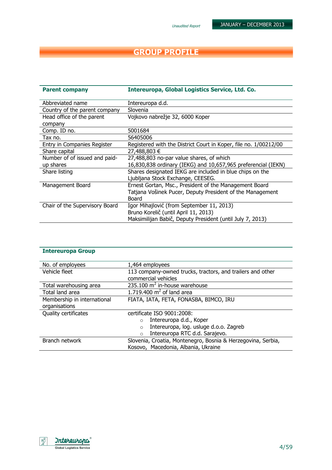#### Unaudited Report

## GROUP PROFILE

| <b>Parent company</b>          | Intereuropa, Global Logistics Service, Ltd. Co.                  |
|--------------------------------|------------------------------------------------------------------|
| Abbreviated name               | Intereuropa d.d.                                                 |
| Country of the parent company  | Slovenia                                                         |
| Head office of the parent      | Vojkovo nabrežje 32, 6000 Koper                                  |
| company                        |                                                                  |
| Comp. ID no.                   | 5001684                                                          |
| Tax no.                        | 56405006                                                         |
| Entry in Companies Register    | Registered with the District Court in Koper, file no. 1/00212/00 |
| Share capital                  | 27,488,803 €                                                     |
| Number of of issued and paid-  | 27,488,803 no-par value shares, of which                         |
| up shares                      | 16,830,838 ordinary (IEKG) and 10,657,965 preferencial (IEKN)    |
| Share listing                  | Shares designated IEKG are included in blue chips on the         |
|                                | Ljubljana Stock Exchange, CEESEG.                                |
| Management Board               | Ernest Gortan, Msc., President of the Management Board           |
|                                | Tatjana Vošinek Pucer, Deputy President of the Management        |
|                                | Board                                                            |
| Chair of the Supervisory Board | Igor Mihajlović (from September 11, 2013)                        |
|                                | Bruno Korelič (until April 11, 2013)                             |
|                                | Maksimilijan Babič, Deputy President (until July 7, 2013)        |

| <b>Intereuropa Group</b>    |                                                              |  |  |  |
|-----------------------------|--------------------------------------------------------------|--|--|--|
| No. of employees            | 1,464 employees                                              |  |  |  |
| Vehicle fleet               | 113 company-owned trucks, tractors, and trailers and other   |  |  |  |
|                             | commercial vehicles                                          |  |  |  |
| Total warehousing area      | 235.100 $m^2$ in-house warehouse                             |  |  |  |
| Total land area             | 1.719.400 $m2$ of land area                                  |  |  |  |
| Membership in international | FIATA, IATA, FETA, FONASBA, BIMCO, IRU                       |  |  |  |
| organisations               |                                                              |  |  |  |
| Quality certificates        | certificate ISO 9001:2008:                                   |  |  |  |
|                             | Intereuropa d.d., Koper<br>$\circ$                           |  |  |  |
|                             | Intereuropa, log. usluge d.o.o. Zagreb<br>$\Omega$           |  |  |  |
|                             | Intereuropa RTC d.d. Sarajevo.<br>$\Omega$                   |  |  |  |
| Branch network              | Slovenia, Croatia, Montenegro, Bosnia & Herzegovina, Serbia, |  |  |  |
|                             | Kosovo, Macedonia, Albania, Ukraine                          |  |  |  |

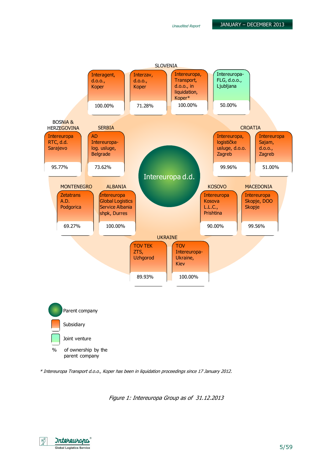

\* Intereuropa Transport d.o.o., Koper has been in liquidation proceedings since 17 January 2012.

Figure 1: Intereuropa Group as of 31.12.2013

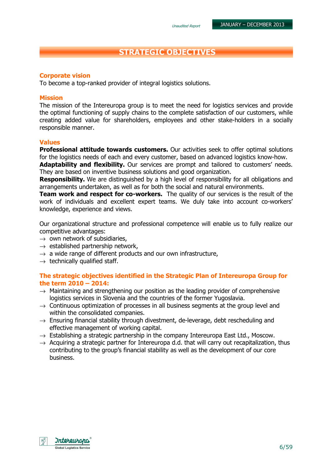## STRATEGIC OBJECTIVES

#### Corporate vision

To become a top-ranked provider of integral logistics solutions.

#### Mission

The mission of the Intereuropa group is to meet the need for logistics services and provide the optimal functioning of supply chains to the complete satisfaction of our customers, while creating added value for shareholders, employees and other stake-holders in a socially responsible manner.

#### Values

**Professional attitude towards customers.** Our activities seek to offer optimal solutions for the logistics needs of each and every customer, based on advanced logistics know-how.

**Adaptability and flexibility.** Our services are prompt and tailored to customers' needs. They are based on inventive business solutions and good organization.

**Responsibility.** We are distinguished by a high level of responsibility for all obligations and arrangements undertaken, as well as for both the social and natural environments.

**Team work and respect for co-workers.** The quality of our services is the result of the work of individuals and excellent expert teams. We duly take into account co-workers' knowledge, experience and views.

Our organizational structure and professional competence will enable us to fully realize our competitive advantages:

- $\rightarrow$  own network of subsidiaries,
- $\rightarrow$  established partnership network,
- $\rightarrow$  a wide range of different products and our own infrastructure,
- $\rightarrow$  technically qualified staff.

#### The strategic objectives identified in the Strategic Plan of Intereuropa Group for the term 2010 – 2014:

- $\rightarrow$  Maintaining and strengthening our position as the leading provider of comprehensive logistics services in Slovenia and the countries of the former Yugoslavia.
- $\rightarrow$  Continuous optimization of processes in all business segments at the group level and within the consolidated companies.
- $\rightarrow$  Ensuring financial stability through divestment, de-leverage, debt rescheduling and effective management of working capital.
- $\rightarrow$  Establishing a strategic partnership in the company Intereuropa East Ltd., Moscow.
- $\rightarrow$  Acquiring a strategic partner for Intereuropa d.d. that will carry out recapitalization, thus contributing to the group's financial stability as well as the development of our core business.

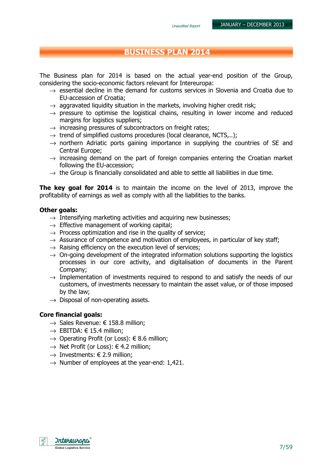## BUSINESS PLAN 2014

The Business plan for 2014 is based on the actual year-end position of the Group, considering the socio-economic factors relevant for Intereuropa:

- $\rightarrow$  essential decline in the demand for customs services in Slovenia and Croatia due to EU-accession of Croatia;
- $\rightarrow$  aggravated liquidity situation in the markets, involving higher credit risk;
- $\rightarrow$  pressure to optimise the logistical chains, resulting in lower income and reduced margins for logistics suppliers;
- $\rightarrow$  increasing pressures of subcontractors on freight rates;
- $\rightarrow$  trend of simplified customs procedures (local clearance, NCTS...);
- $\rightarrow$  northern Adriatic ports gaining importance in supplying the countries of SE and Central Europe;
- $\rightarrow$  increasing demand on the part of foreign companies entering the Croatian market following the EU-accession;
- $\rightarrow$  the Group is financially consolidated and able to settle all liabilities in due time.

**The key goal for 2014** is to maintain the income on the level of 2013, improve the profitability of earnings as well as comply with all the liabilities to the banks.

#### Other goals:

- $\rightarrow$  Intensifying marketing activities and acquiring new businesses:
- $\rightarrow$  Effective management of working capital;
- $\rightarrow$  Process optimization and rise in the quality of service;
- $\rightarrow$  Assurance of competence and motivation of employees, in particular of key staff;
- $\rightarrow$  Raising efficiency on the execution level of services;
- $\rightarrow$  On-going development of the integrated information solutions supporting the logistics processes in our core activity, and digitalisation of documents in the Parent Company;
- $\rightarrow$  Implementation of investments required to respond to and satisfy the needs of our customers, of investments necessary to maintain the asset value, or of those imposed by the law;
- $\rightarrow$  Disposal of non-operating assets.

#### Core financial goals:

- $\rightarrow$  Sales Revenue:  $\in$  158.8 million:
- $\rightarrow$  EBITDA:  $\in$  15.4 million:
- $\rightarrow$  Operating Profit (or Loss):  $\epsilon$  8.6 million;
- $\rightarrow$  Net Profit (or Loss):  $\in$  4.2 million;
- $\rightarrow$  Investments:  $\in$  2.9 million;
- $\rightarrow$  Number of employees at the year-end: 1,421.

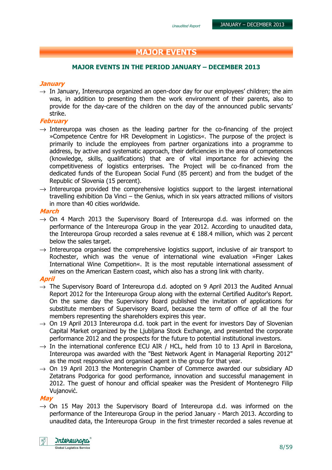## MAJOR EVENTS

#### MAJOR EVENTS IN THE PERIOD JANUARY – DECEMBER 2013

#### **January**

 $\rightarrow$  In January, Intereuropa organized an open-door day for our employees' children; the aim was, in addition to presenting them the work environment of their parents, also to provide for the day-care of the children on the day of the announced public servants' strike.

#### February

- $\rightarrow$  Intereuropa was chosen as the leading partner for the co-financing of the project »Competence Centre for HR Development in Logistics«. The purpose of the project is primarily to include the employees from partner organizations into a programme to address, by active and systematic approach, their deficiencies in the area of competences (knowledge, skills, qualifications) that are of vital importance for achieving the competitiveness of logistics enterprises. The Project will be co-financed from the dedicated funds of the European Social Fund (85 percent) and from the budget of the Republic of Slovenia (15 percent).
- $\rightarrow$  Intereuropa provided the comprehensive logistics support to the largest international travelling exhibition Da Vinci – the Genius, which in six years attracted millions of visitors in more than 40 cities worldwide.

#### March

- $\rightarrow$  On 4 March 2013 the Supervisory Board of Intereuropa d.d. was informed on the performance of the Intereuropa Group in the year 2012. According to unaudited data, the Intereuropa Group recorded a sales revenue at  $\epsilon$  188.4 million, which was 2 percent below the sales target.
- $\rightarrow$  Intereuropa organised the comprehensive logistics support, inclusive of air transport to Rochester, which was the venue of international wine evaluation »Finger Lakes International Wine Competition«. It is the most reputable international assessment of wines on the American Eastern coast, which also has a strong link with charity.

#### April

- $\rightarrow$  The Supervisory Board of Intereuropa d.d. adopted on 9 April 2013 the Audited Annual Report 2012 for the Intereuropa Group along with the external Certified Auditor's Report. On the same day the Supervisory Board published the invitation of applications for substitute members of Supervisory Board, because the term of office of all the four members representing the shareholders expires this year.
- $\rightarrow$  On 19 April 2013 Intereuropa d.d. took part in the event for investors Day of Slovenian Capital Market organized by the Ljubljana Stock Exchange, and presented the corporate performance 2012 and the prospects for the future to potential institutional investors.
- $\rightarrow$  In the international conference ECU AIR / HCL, held from 10 to 13 April in Barcelona, Intereuropa was awarded with the "Best Network Agent in Managerial Reporting 2012" as the most responsive and organised agent in the group for that year.
- $\rightarrow$  On 19 April 2013 the Montenegrin Chamber of Commerce awarded our subsidiary AD Zetatrans Podgorica for good performance, innovation and successful management in 2012. The guest of honour and official speaker was the President of Montenegro Filip Vujanović.

#### May

 $\rightarrow$  On 15 May 2013 the Supervisory Board of Intereuropa d.d. was informed on the performance of the Intereuropa Group in the period January - March 2013. According to unaudited data, the Intereuropa Group in the first trimester recorded a sales revenue at

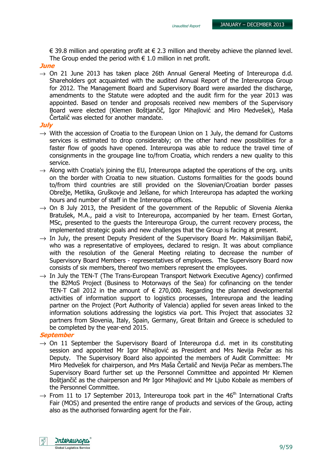€ 39.8 million and operating profit at  $∈$  2.3 million and thereby achieve the planned level. The Group ended the period with  $\epsilon$  1.0 million in net profit.

#### **June**

 $\rightarrow$  On 21 June 2013 has taken place 26th Annual General Meeting of Intereuropa d.d. Shareholders got acquainted with the audited Annual Report of the Intereuropa Group for 2012. The Management Board and Supervisory Board were awarded the discharge, amendments to the Statute were adopted and the audit firm for the year 2013 was appointed. Based on tender and proposals received new members of the Supervisory Board were elected (Klemen Boštjančič, Igor Mihajlović and Miro Medvešek), Maša Čertalič was elected for another mandate.

#### **July**

- $\rightarrow$  With the accession of Croatia to the European Union on 1 July, the demand for Customs services is estimated to drop considerably; on the other hand new possibilities for a faster flow of goods have opened. Intereuropa was able to reduce the travel time of consignments in the groupage line to/from Croatia, which renders a new quality to this service.
- $\rightarrow$  Along with Croatia's joining the EU, Intereuropa adapted the operations of the org. units on the border with Croatia to new situation. Customs formalities for the goods bound to/from third countries are still provided on the Slovenian/Croatian border passes Obrežje, Metlika, Gruškovje and Jelšane, for which Intereuropa has adapted the working hours and number of staff in the Intereuropa offices.
- $\rightarrow$  On 8 July 2013, the President of the government of the Republic of Slovenia Alenka Bratušek, M.A., paid a visit to Intereuropa, accompanied by her team. Ernest Gortan, MSc, presented to the guests the Intereuropa Group, the current recovery process, the implemented strategic goals and new challenges that the Group is facing at present.
- $\rightarrow$  In July, the present Deputy President of the Supervisory Board Mr. Maksimilijan Babič. who was a representative of employees, declared to resign. It was about compliance with the resolution of the General Meeting relating to decrease the number of Supervisory Board Members - representatives of employees. The Supervisory Board now consists of six members, thereof two members represent the employees.
- $\rightarrow$  In July the TEN-T (The Trans-European Transport Network Executive Agency) confirmed the B2MoS Project (Business to Motorways of the Sea) for cofinancing on the tender TEN-T Call 2012 in the amount of  $\epsilon$  270,000. Regarding the planned developmental activities of information support to logistics processes, Intereuropa and the leading partner on the Project (Port Authority of Valencia) applied for seven areas linked to the information solutions addressing the logistics via port. This Project that associates 32 partners from Slovenia, Italy, Spain, Germany, Great Britain and Greece is scheduled to be completed by the year-end 2015.

#### **September**

- $\rightarrow$  On 11 September the Supervisory Board of Intereuropa d.d. met in its constituting session and appointed Mr Igor Mihajlović as President and Mrs Nevija Pečar as his Deputy. The Supervisory Board also appointed the members of Audit Committee: Mr Miro Medvešek for chairperson, and Mrs Maša Čertalič and Nevija Pečar as members.The Supervisory Board further set up the Personnel Committee and appointed Mr Klemen Boštjančič as the chairperson and Mr Igor Mihajlović and Mr Ljubo Kobale as members of the Personnel Committee.
- $\rightarrow$  From 11 to 17 September 2013, Intereuropa took part in the 46<sup>th</sup> International Crafts Fair (MOS) and presented the entire range of products and services of the Group, acting also as the authorised forwarding agent for the Fair.

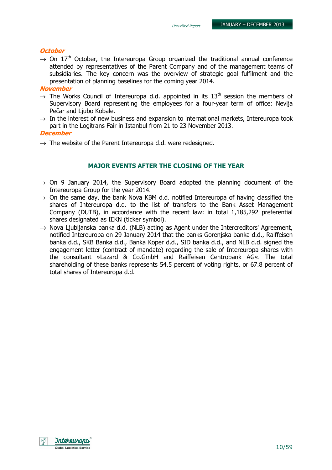#### **October**

 $\rightarrow$  On 17<sup>th</sup> October, the Intereuropa Group organized the traditional annual conference attended by representatives of the Parent Company and of the management teams of subsidiaries. The key concern was the overview of strategic goal fulfilment and the presentation of planning baselines for the coming year 2014.

#### **November**

- $\rightarrow$  The Works Council of Intereuropa d.d. appointed in its 13<sup>th</sup> session the members of Supervisory Board representing the employees for a four-year term of office: Nevija Pečar and Liubo Kobale.
- $\rightarrow$  In the interest of new business and expansion to international markets, Intereuropa took part in the Logitrans Fair in Istanbul from 21 to 23 November 2013.

#### December

 $\rightarrow$  The website of the Parent Intereuropa d.d. were redesigned.

#### MAJOR EVENTS AFTER THE CLOSING OF THE YEAR

- $\rightarrow$  On 9 January 2014, the Supervisory Board adopted the planning document of the Intereuropa Group for the year 2014.
- $\rightarrow$  On the same day, the bank Nova KBM d.d. notified Intereuropa of having classified the shares of Intereuropa d.d. to the list of transfers to the Bank Asset Management Company (DUTB), in accordance with the recent law: in total 1,185,292 preferential shares designated as IEKN (ticker symbol).
- $\rightarrow$  Nova Ljubljanska banka d.d. (NLB) acting as Agent under the Intercreditors' Agreement, notified Intereuropa on 29 January 2014 that the banks Gorenjska banka d.d., Raiffeisen banka d.d., SKB Banka d.d., Banka Koper d.d., SID banka d.d., and NLB d.d. signed the engagement letter (contract of mandate) regarding the sale of Intereuropa shares with the consultant »Lazard & Co.GmbH and Raiffeisen Centrobank AG«. The total shareholding of these banks represents 54.5 percent of voting rights, or 67.8 percent of total shares of Intereuropa d.d.

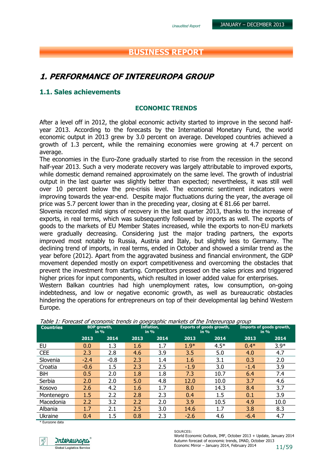## BUSINESS REPORT

## 1. PERFORMANCE OF INTEREUROPA GROUP

#### 1.1. Sales achievements

#### ECONOMIC TRENDS

After a level off in 2012, the global economic activity started to improve in the second halfyear 2013. According to the forecasts by the International Monetary Fund, the world economic output in 2013 grew by 3.0 percent on average. Developed countries achieved a growth of 1.3 percent, while the remaining economies were growing at 4.7 percent on average.

The economies in the Euro-Zone gradually started to rise from the recession in the second half-year 2013. Such a very moderate recovery was largely attributable to improved exports, while domestic demand remained approximately on the same level. The growth of industrial output in the last quarter was slightly better than expected; nevertheless, it was still well over 10 percent below the pre-crisis level. The economic sentiment indicators were improving towards the year-end. Despite major fluctuations during the year, the average oil price was 5.7 percent lower than in the preceding year, closing at  $\in$  81.66 per barrel.

Slovenia recorded mild signs of recovery in the last quarter 2013, thanks to the increase of exports, in real terms, which was subsequently followed by imports as well. The exports of goods to the markets of EU Member States increased, while the exports to non-EU markets were gradually decreasing. Considering just the major trading partners, the exports improved most notably to Russia, Austria and Italy, but slightly less to Germany. The declining trend of imports, in real terms, ended in October and showed a similar trend as the year before (2012). Apart from the aggravated business and financial environment, the GDP movement depended mostly on export competitiveness and overcoming the obstacles that prevent the investment from starting. Competitors pressed on the sales prices and triggered higher prices for input components, which resulted in lower added value for enterprises.

Western Balkan countries had high unemployment rates, low consumption, on-going indebtedness, and low or negative economic growth, as well as bureaucratic obstacles hindering the operations for entrepreneurs on top of their developmental lag behind Western Europe.

| <b>Countries</b> |         | <b>BDP</b> growth,<br>$in \%$ | Inflation,<br>in $%$ |      | <b>Exports of goods growth,</b><br>in $%$ |        | Imports of goods growth,<br>in $%$ |        |
|------------------|---------|-------------------------------|----------------------|------|-------------------------------------------|--------|------------------------------------|--------|
|                  | 2013    | 2014                          | 2013                 | 2014 | 2013                                      | 2014   | 2013                               | 2014   |
| EU               | 0.0     | 1.3                           | 1.6                  | 1.7  | $1.9*$                                    | $4.5*$ | $0.4*$                             | $3.9*$ |
| <b>CEE</b>       | 2.3     | 2.8                           | 4.6                  | 3.9  | 3.5                                       | 5.0    | 4.0                                | 4.7    |
| Slovenia         | $-2.4$  | $-0.8$                        | 2.3                  | 1.4  | 1.6                                       | 3.1    | 0.3                                | 2.0    |
| Croatia          | $-0.6$  | 1.5                           | 2.3                  | 2.5  | $-1.9$                                    | 3.0    | $-1.4$                             | 3.9    |
| BiH              | 0.5     | 2.0                           | 1.8                  | 1.8  | 7.3                                       | 10.7   | 6.4                                | 7.4    |
| Serbia           | 2.0     | 2.0                           | 5.0                  | 4.8  | 12.0                                      | 10.0   | 3.7                                | 4.6    |
| Kosovo           | 2.6     | 4.2                           | 1.6                  | 1.7  | 8.0                                       | 14.3   | 8.4                                | 3.7    |
| Montenegro       | $1.5\,$ | 2.2                           | 2.8                  | 2.3  | 0.4                                       | 1.5    | 0.1                                | 3.9    |
| Macedonia        | 2.2     | 3.2                           | 2.2                  | 2.0  | 3.9                                       | 10.5   | 4.9                                | 10.0   |
| Albania          | 1.7     | 2.1                           | 2.5                  | 3.0  | 14.6                                      | 1.7    | 3.8                                | 8.3    |
| Ukraine          | 0.4     | 1.5                           | 0.8                  | 2.3  | $-2.6$                                    | 4.6    | $-6.4$                             | 4.7    |

#### Table 1: Forecast of economic trends in goegraphic markets of the Intereuropa group

\* Eurozone data



Autumn forecast of economic trends, IMAD, October 2013<br>
Economic Mirror – January 2014, February 2014<br>
11/59 SOURCES: World Economic Outlook, IMF, October 2013 + Update, January 2014 Economc Mirror – January 2014, February 2014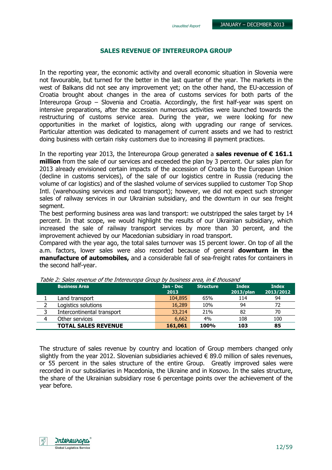#### SALES REVENUE OF INTEREUROPA GROUP

In the reporting year, the economic activity and overall economic situation in Slovenia were not favourable, but turned for the better in the last quarter of the year. The markets in the west of Balkans did not see any improvement yet; on the other hand, the EU-accession of Croatia brought about changes in the area of customs services for both parts of the Intereuropa Group – Slovenia and Croatia. Accordingly, the first half-year was spent on intensive preparations, after the accession numerous activities were launched towards the restructuring of customs service area. During the year, we were looking for new opportunities in the market of logistics, along with upgrading our range of services. Particular attention was dedicated to management of current assets and we had to restrict doing business with certain risky customers due to increasing ill payment practices.

In the reporting year 2013, the Intereuropa Group generated a **sales revenue of**  $\epsilon$  **161.1** million from the sale of our services and exceeded the plan by 3 percent. Our sales plan for 2013 already envisioned certain impacts of the accession of Croatia to the European Union (decline in customs services), of the sale of our logistics centre in Russia (reducing the volume of car logistics) and of the slashed volume of services supplied to customer Top Shop Intl. (warehousing services and road transport); however, we did not expect such stronger sales of railway services in our Ukrainian subsidiary, and the downturn in our sea freight segment.

The best performing business area was land transport: we outstripped the sales target by 14 percent. In that scope, we would highlight the results of our Ukrainian subsidiary, which increased the sale of railway transport services by more than 30 percent, and the improvement achieved by our Macedonian subsidiary in road transport.

Compared with the year ago, the total sales turnover was 15 percent lower. On top of all the a.m. factors, lower sales were also recorded because of general **downturn in the** manufacture of automobiles, and a considerable fall of sea-freight rates for containers in the second half-year.

|   | <b>Business Area</b>       | Jan - Dec<br>2013 | <b>Structure</b> | <b>Index</b><br>2013/plan | <b>Index</b><br>2013/2012 |
|---|----------------------------|-------------------|------------------|---------------------------|---------------------------|
|   | Land transport             | 104,895           | 65%              | 114                       | 94                        |
|   | Logistics solutions        | 16,289            | 10%              | 94                        | 72                        |
|   | Intercontinental transport | 33,214            | 21%              | 82                        | 70                        |
| 4 | Other services             | 6,662             | 4%               | 108                       | 100                       |
|   | <b>TOTAL SALES REVENUE</b> | 161,061           | <b>100%</b>      | 103                       | 85                        |

Table 2: Sales revenue of the Intereuropa Group by business area, in  $\epsilon$  thousand

The structure of sales revenue by country and location of Group members changed only slightly from the year 2012. Slovenian subsidiaries achieved  $\epsilon$  89.0 million of sales revenues, or 55 percent in the sales structure of the entire Group. Greatly improved sales were recorded in our subsidiaries in Macedonia, the Ukraine and in Kosovo. In the sales structure, the share of the Ukrainian subsidiary rose 6 percentage points over the achievement of the year before.

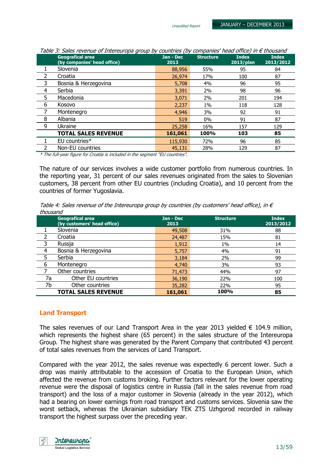|   | <b>Geografical area</b><br>(by companies' head office)                                                                                                                                                                                                                                                                                                       | $Jan - Dec$<br>2013 | <b>Structure</b> | <b>Index</b><br>$2013$ /plan | <b>Index</b><br>2013/2012 |  |  |
|---|--------------------------------------------------------------------------------------------------------------------------------------------------------------------------------------------------------------------------------------------------------------------------------------------------------------------------------------------------------------|---------------------|------------------|------------------------------|---------------------------|--|--|
|   | Slovenia                                                                                                                                                                                                                                                                                                                                                     | 88,956              | 55%              | 95                           | 84                        |  |  |
| 2 | Croatia                                                                                                                                                                                                                                                                                                                                                      | 26,974              | 17%              | 100                          | 87                        |  |  |
| 3 | Bosnia & Herzegovina                                                                                                                                                                                                                                                                                                                                         | 5,708               | 4%               | 96                           | 95                        |  |  |
| 4 | Serbia                                                                                                                                                                                                                                                                                                                                                       | 3,391               | 2%               | 98                           | 96                        |  |  |
| 5 | Macedonia                                                                                                                                                                                                                                                                                                                                                    | 3,071               | 2%               | 201                          | 194                       |  |  |
| 6 | Kosovo                                                                                                                                                                                                                                                                                                                                                       | 2,237               | $1\%$            | 118                          | 128                       |  |  |
|   | Montenegro                                                                                                                                                                                                                                                                                                                                                   | 4,946               | 3%               | 92                           | 91                        |  |  |
| 8 | Albania                                                                                                                                                                                                                                                                                                                                                      | 519                 | $0\%$            | 91                           | 87                        |  |  |
| 9 | Ukraine                                                                                                                                                                                                                                                                                                                                                      | 25,258              | 16%              | 157                          | 129                       |  |  |
|   | <b>TOTAL SALES REVENUE</b>                                                                                                                                                                                                                                                                                                                                   | 161,061             | 100%             | 103                          | 85                        |  |  |
|   | EU countries*                                                                                                                                                                                                                                                                                                                                                | 115,930             | 72%              | 96                           | 85                        |  |  |
|   | Non-EU countries                                                                                                                                                                                                                                                                                                                                             | 45,131              | 28%              | 129                          | 87                        |  |  |
|   | $\epsilon$ , and $\epsilon$ and $\epsilon$ , and $\epsilon$ , and $\epsilon$ , and $\epsilon$ , and $\epsilon$ , and $\epsilon$ , and $\epsilon$ , and $\epsilon$ , and $\epsilon$ , and $\epsilon$ , and $\epsilon$ , and $\epsilon$ , and $\epsilon$ , and $\epsilon$ , and $\epsilon$ , and $\epsilon$ , and $\epsilon$ , and $\epsilon$ , and $\epsilon$ |                     |                  |                              |                           |  |  |

Table 3: Sales revenue of Intereuropa group by countries (by companies' head office) in  $\epsilon$  thousand

\* The full-year figure for Croatia is included in the segment "EU countries".

The nature of our services involves a wide customer portfolio from numerous countries. In the reporting year, 31 percent of our sales revenues originated from the sales to Slovenian customers, 38 percent from other EU countries (including Croatia), and 10 percent from the countries of former Yugoslavia.

Table 4: Sales revenue of the Intereuropa group by countries (by customers' head office), in  $\epsilon$ thousand

|    | <b>Geografical area</b><br>(by customers' head office) | Jan - Dec<br>2013 | <b>Structure</b> | <b>Index</b><br>2013/2012 |
|----|--------------------------------------------------------|-------------------|------------------|---------------------------|
|    | Slovenia                                               | 49,508            | 31%              | 88                        |
|    | Croatia                                                | 24,487            | 15%              | 81                        |
| 3  | Russja                                                 | 1,912             | $1\%$            | 14                        |
| 4  | Bosnia & Herzegovina                                   | 5,757             | 4%               | 91                        |
| 5  | Serbia                                                 | 3,184             | 2%               | 99                        |
| 6  | Montenegro                                             | 4,740             | 3%               | 93                        |
|    | Other countries                                        | 71,473            | 44%              | 97                        |
| 7a | Other EU countries                                     | 36,190            | 22%              | 100                       |
| 7b | Other countries                                        | 35,282            | 22%              | 95                        |
|    | <b>TOTAL SALES REVENUE</b>                             | 161,061           | 100%             | 85                        |

#### Land Transport

The sales revenues of our Land Transport Area in the year 2013 yielded  $\epsilon$  104.9 million, which represents the highest share (65 percent) in the sales structure of the Intereuropa Group. The highest share was generated by the Parent Company that contributed 43 percent of total sales revenues from the services of Land Transport.

Compared with the year 2012, the sales revenue was expectedly 6 percent lower. Such a drop was mainly attributable to the accession of Croatia to the European Union, which affected the revenue from customs broking. Further factors relevant for the lower operating revenue were the disposal of logistics centre in Russia (fall in the sales revenue from road transport) and the loss of a major customer in Slovenia (already in the year 2012), which had a bearing on lower earnings from road transport and customs services. Slovenia saw the worst setback, whereas the Ukrainian subsidiary TEK ZTS Uzhgorod recorded in railway transport the highest surpass over the preceding year.

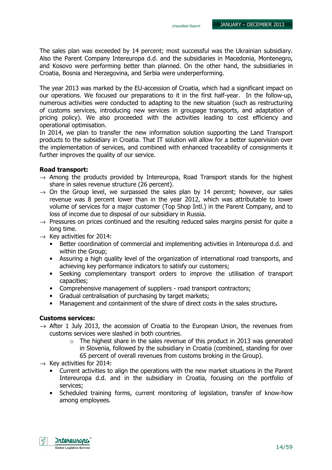The sales plan was exceeded by 14 percent; most successful was the Ukrainian subsidiary. Also the Parent Company Intereuropa d.d. and the subsidiaries in Macedonia, Montenegro, and Kosovo were performing better than planned. On the other hand, the subsidiaries in Croatia, Bosnia and Herzegovina, and Serbia were underperforming.

The year 2013 was marked by the EU-accession of Croatia, which had a significant impact on our operations. We focused our preparations to it in the first half-year. In the follow-up, numerous activities were conducted to adapting to the new situation (such as restructuring of customs services, introducing new services in groupage transports, and adaptation of pricing policy). We also proceeded with the activities leading to cost efficiency and operational optimisation.

In 2014, we plan to transfer the new information solution supporting the Land Transport products to the subsidiary in Croatia. That IT solution will allow for a better supervision over the implementation of services, and combined with enhanced traceability of consignments it further improves the quality of our service.

#### Road transport:

- $\rightarrow$  Among the products provided by Intereuropa, Road Transport stands for the highest share in sales revenue structure (26 percent).
- $\rightarrow$  On the Group level, we surpassed the sales plan by 14 percent; however, our sales revenue was 8 percent lower than in the year 2012, which was attributable to lower volume of services for a major customer (Top Shop Intl.) in the Parent Company, and to loss of income due to disposal of our subsidiary in Russia.
- $\rightarrow$  Pressures on prices continued and the resulting reduced sales margins persist for quite a long time.
- $\rightarrow$  Key activities for 2014:
	- Better coordination of commercial and implementing activities in Intereuropa d.d. and within the Group;
	- Assuring a high quality level of the organization of international road transports, and achieving key performance indicators to satisfy our customers;
	- Seeking complementary transport orders to improve the utilisation of transport capacities;
	- Comprehensive management of suppliers road transport contractors;
	- Gradual centralisation of purchasing by target markets;
	- Management and containment of the share of direct costs in the sales structure.

#### Customs services:

- $\rightarrow$  After 1 July 2013, the accession of Croatia to the European Union, the revenues from customs services were slashed in both countries.
	- $\circ$  The highest share in the sales revenue of this product in 2013 was generated in Slovenia, followed by the subsidiary in Croatia (combined, standing for over 65 percent of overall revenues from customs broking in the Group).
- $\rightarrow$  Key activities for 2014:
	- Current activities to align the operations with the new market situations in the Parent Intereuropa d.d. and in the subsidiary in Croatia, focusing on the portfolio of services;
	- Scheduled training forms, current monitoring of legislation, transfer of know-how among employees.

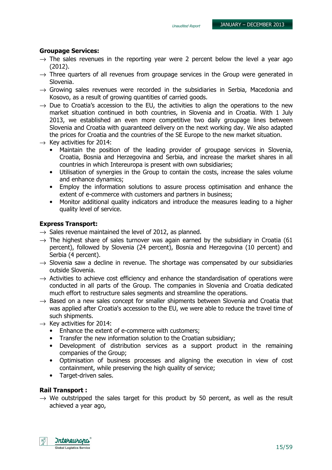#### Groupage Services:

- $\rightarrow$  The sales revenues in the reporting year were 2 percent below the level a year ago (2012).
- $\rightarrow$  Three quarters of all revenues from groupage services in the Group were generated in Slovenia.
- $\rightarrow$  Growing sales revenues were recorded in the subsidiaries in Serbia, Macedonia and Kosovo, as a result of growing quantities of carried goods.
- $\rightarrow$  Due to Croatia's accession to the EU, the activities to align the operations to the new market situation continued in both countries, in Slovenia and in Croatia. With 1 July 2013, we established an even more competitive two daily groupage lines between Slovenia and Croatia with guaranteed delivery on the next working day. We also adapted the prices for Croatia and the countries of the SE Europe to the new market situation.
- $\rightarrow$  Key activities for 2014:
	- Maintain the position of the leading provider of groupage services in Slovenia, Croatia, Bosnia and Herzegovina and Serbia, and increase the market shares in all countries in which Intereuropa is present with own subsidiaries;
	- Utilisation of synergies in the Group to contain the costs, increase the sales volume and enhance dynamics;
	- Employ the information solutions to assure process optimisation and enhance the extent of e-commerce with customers and partners in business;
	- Monitor additional quality indicators and introduce the measures leading to a higher quality level of service.

#### Express Transport:

- $\rightarrow$  Sales revenue maintained the level of 2012, as planned.
- $\rightarrow$  The highest share of sales turnover was again earned by the subsidiary in Croatia (61) percent), followed by Slovenia (24 percent), Bosnia and Herzegovina (10 percent) and Serbia (4 percent).
- $\rightarrow$  Slovenia saw a decline in revenue. The shortage was compensated by our subsidiaries outside Slovenia.
- $\rightarrow$  Activities to achieve cost efficiency and enhance the standardisation of operations were conducted in all parts of the Group. The companies in Slovenia and Croatia dedicated much effort to restructure sales segments and streamline the operations.
- $\rightarrow$  Based on a new sales concept for smaller shipments between Slovenia and Croatia that was applied after Croatia's accession to the EU, we were able to reduce the travel time of such shipments.
- $\rightarrow$  Key activities for 2014:
	- Enhance the extent of e-commerce with customers;
	- Transfer the new information solution to the Croatian subsidiary;
	- Development of distribution services as a support product in the remaining companies of the Group;
	- Optimisation of business processes and aligning the execution in view of cost containment, while preserving the high quality of service;
	- Target-driven sales.

#### Rail Transport :

 $\rightarrow$  We outstripped the sales target for this product by 50 percent, as well as the result achieved a year ago,

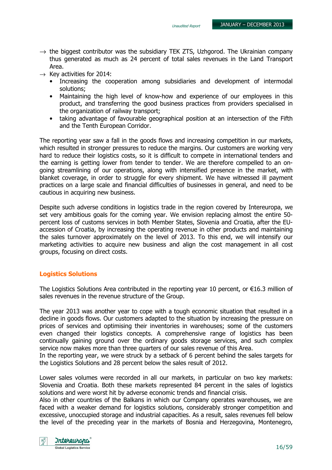- $\rightarrow$  the biggest contributor was the subsidiary TEK ZTS, Uzhgorod. The Ukrainian company thus generated as much as 24 percent of total sales revenues in the Land Transport Area.
- $\rightarrow$  Key activities for 2014:
	- Increasing the cooperation among subsidiaries and development of intermodal solutions;
	- Maintaining the high level of know-how and experience of our employees in this product, and transferring the good business practices from providers specialised in the organization of railway transport;
	- taking advantage of favourable geographical position at an intersection of the Fifth and the Tenth European Corridor.

The reporting year saw a fall in the goods flows and increasing competition in our markets, which resulted in stronger pressures to reduce the margins. Our customers are working very hard to reduce their logistics costs, so it is difficult to compete in international tenders and the earning is getting lower from tender to tender. We are therefore compelled to an ongoing streamlining of our operations, along with intensified presence in the market, with blanket coverage, in order to struggle for every shipment. We have witnessed ill payment practices on a large scale and financial difficulties of businesses in general, and need to be cautious in acquiring new business.

Despite such adverse conditions in logistics trade in the region covered by Intereuropa, we set very ambitious goals for the coming year. We envision replacing almost the entire 50 percent loss of customs services in both Member States, Slovenia and Croatia, after the EUaccession of Croatia, by increasing the operating revenue in other products and maintaining the sales turnover approximately on the level of 2013. To this end, we will intensify our marketing activities to acquire new business and align the cost management in all cost groups, focusing on direct costs.

#### Logistics Solutions

The Logistics Solutions Area contributed in the reporting year 10 percent, or €16.3 million of sales revenues in the revenue structure of the Group.

The year 2013 was another year to cope with a tough economic situation that resulted in a decline in goods flows. Our customers adapted to the situation by increasing the pressure on prices of services and optimising their inventories in warehouses; some of the customers even changed their logistics concepts. A comprehensive range of logistics has been continually gaining ground over the ordinary goods storage services, and such complex service now makes more than three quarters of our sales revenue of this Area.

In the reporting year, we were struck by a setback of 6 percent behind the sales targets for the Logistics Solutions and 28 percent below the sales result of 2012.

Lower sales volumes were recorded in all our markets, in particular on two key markets: Slovenia and Croatia. Both these markets represented 84 percent in the sales of logistics solutions and were worst hit by adverse economic trends and financial crisis.

Also in other countries of the Balkans in which our Company operates warehouses, we are faced with a weaker demand for logistics solutions, considerably stronger competition and excessive, unoccupied storage and industrial capacities. As a result, sales revenues fell below the level of the preceding year in the markets of Bosnia and Herzegovina, Montenegro,

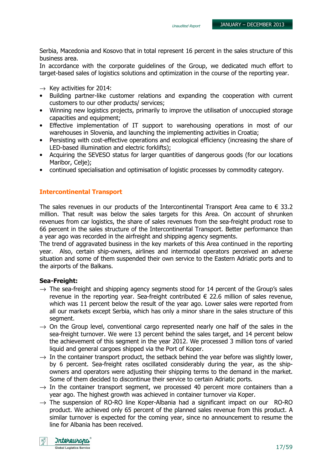Serbia, Macedonia and Kosovo that in total represent 16 percent in the sales structure of this business area.

In accordance with the corporate guidelines of the Group, we dedicated much effort to target-based sales of logistics solutions and optimization in the course of the reporting year.

- $\rightarrow$  Key activities for 2014:
- Building partner-like customer relations and expanding the cooperation with current customers to our other products/ services;
- Winning new logistics projects, primarily to improve the utilisation of unoccupied storage capacities and equipment;
- Effective implementation of IT support to warehousing operations in most of our warehouses in Slovenia, and launching the implementing activities in Croatia;
- Persisting with cost-effective operations and ecological efficiency (increasing the share of LED-based illumination and electric forklifts);
- Acquiring the SEVESO status for larger quantities of dangerous goods (for our locations Maribor, Celje);
- continued specialisation and optimisation of logistic processes by commodity category.

#### Intercontinental Transport

The sales revenues in our products of the Intercontinental Transport Area came to  $\epsilon$  33.2 million. That result was below the sales targets for this Area. On account of shrunken revenues from car logistics, the share of sales revenues from the sea-freight product rose to 66 percent in the sales structure of the Intercontinental Transport. Better performance than a year ago was recorded in the airfreight and shipping agency segments.

The trend of aggravated business in the key markets of this Area continued in the reporting year. Also, certain ship-owners, airlines and intermodal operators perceived an adverse situation and some of them suspended their own service to the Eastern Adriatic ports and to the airports of the Balkans.

#### Sea-Freight:

- $\rightarrow$  The sea-freight and shipping agency segments stood for 14 percent of the Group's sales revenue in the reporting year. Sea-freight contributed  $\epsilon$  22.6 million of sales revenue, which was 11 percent below the result of the year ago. Lower sales were reported from all our markets except Serbia, which has only a minor share in the sales structure of this segment.
- $\rightarrow$  On the Group level, conventional cargo represented nearly one half of the sales in the sea-freight turnover. We were 13 percent behind the sales target, and 14 percent below the achievement of this segment in the year 2012. We processed 3 million tons of varied liquid and general cargoes shipped via the Port of Koper.
- $\rightarrow$  In the container transport product, the setback behind the year before was slightly lower, by 6 percent. Sea-freight rates oscillated considerably during the year, as the shipowners and operators were adjusting their shipping terms to the demand in the market. Some of them decided to discontinue their service to certain Adriatic ports.
- $\rightarrow$  In the container transport segment, we processed 40 percent more containers than a year ago. The highest growth was achieved in container turnover via Koper.
- $\rightarrow$  The suspension of RO-RO line Koper-Albania had a significant impact on our RO-RO product. We achieved only 65 percent of the planned sales revenue from this product. A similar turnover is expected for the coming year, since no announcement to resume the line for Albania has been received.

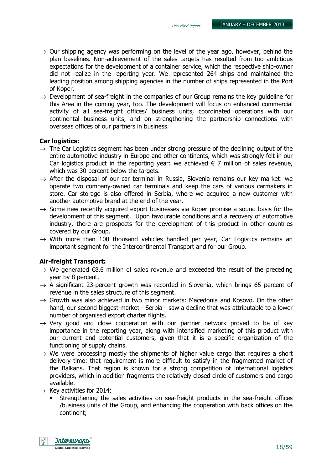- $\rightarrow$  Our shipping agency was performing on the level of the year ago, however, behind the plan baselines. Non-achievement of the sales targets has resulted from too ambitious expectations for the development of a container service, which the respective ship-owner did not realize in the reporting year. We represented 264 ships and maintained the leading position among shipping agencies in the number of ships represented in the Port of Koper.
- $\rightarrow$  Development of sea-freight in the companies of our Group remains the key quideline for this Area in the coming year, too. The development will focus on enhanced commercial activity of all sea-freight offices/ business units, coordinated operations with our continental business units, and on strengthening the partnership connections with overseas offices of our partners in business.

#### Car logistics:

- $\rightarrow$  The Car Logistics segment has been under strong pressure of the declining output of the entire automotive industry in Europe and other continents, which was strongly felt in our Car logistics product in the reporting year: we achieved  $\epsilon$  7 million of sales revenue, which was 30 percent below the targets.
- $\rightarrow$  After the disposal of our car terminal in Russia, Slovenia remains our key market: we operate two company-owned car terminals and keep the cars of various carmakers in store. Car storage is also offered in Serbia, where we acquired a new customer with another automotive brand at the end of the year.
- $\rightarrow$  Some new recently acquired export businesses via Koper promise a sound basis for the development of this segment. Upon favourable conditions and a recovery of automotive industry, there are prospects for the development of this product in other countries covered by our Group.
- $\rightarrow$  With more than 100 thousand vehicles handled per year, Car Logistics remains an important segment for the Intercontinental Transport and for our Group.

#### Air-freight Transport:

- $\rightarrow$  We generated €3.6 million of sales revenue and exceeded the result of the preceding year by 8 percent.
- $\rightarrow$  A significant 23-percent growth was recorded in Slovenia, which brings 65 percent of revenue in the sales structure of this segment.
- $\rightarrow$  Growth was also achieved in two minor markets: Macedonia and Kosovo. On the other hand, our second biggest market - Serbia - saw a decline that was attributable to a lower number of organised export charter flights.
- $\rightarrow$  Very good and close cooperation with our partner network proved to be of key importance in the reporting year, along with intensified marketing of this product with our current and potential customers, given that it is a specific organization of the functioning of supply chains.
- $\rightarrow$  We were processing mostly the shipments of higher value cargo that requires a short delivery time: that requirement is more difficult to satisfy in the fragmented market of the Balkans. That region is known for a strong competition of international logistics providers, which in addition fragments the relatively closed circle of customers and cargo available.
- $\rightarrow$  Key activities for 2014:
	- Strengthening the sales activities on sea-freight products in the sea-freight offices /business units of the Group, and enhancing the cooperation with back offices on the continent;

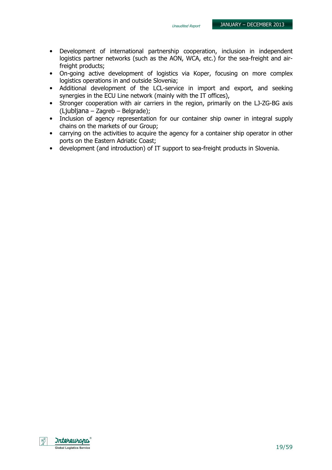- Development of international partnership cooperation, inclusion in independent logistics partner networks (such as the AON, WCA, etc.) for the sea-freight and airfreight products;
- On-going active development of logistics via Koper, focusing on more complex logistics operations in and outside Slovenia;
- Additional development of the LCL-service in import and export, and seeking synergies in the ECU Line network (mainly with the IT offices),
- Stronger cooperation with air carriers in the region, primarily on the LJ-ZG-BG axis (Ljubljana – Zagreb – Belgrade);
- Inclusion of agency representation for our container ship owner in integral supply chains on the markets of our Group;
- carrying on the activities to acquire the agency for a container ship operator in other ports on the Eastern Adriatic Coast;
- development (and introduction) of IT support to sea-freight products in Slovenia.

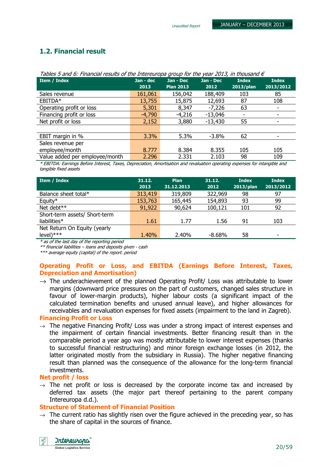## 1.2. Financial result

|                                | rabics 5 and 0. I mancial results of the Intercure operation for the year 2013, in thousand c |                  |           |              |              |  |  |  |  |  |
|--------------------------------|-----------------------------------------------------------------------------------------------|------------------|-----------|--------------|--------------|--|--|--|--|--|
| Item / Index                   | Jan - dec                                                                                     | Jan - Dec        | Jan - Dec | <b>Index</b> | <b>Index</b> |  |  |  |  |  |
|                                | 2013                                                                                          | <b>Plan 2013</b> | 2012      | $2013$ /plan | 2013/2012    |  |  |  |  |  |
| Sales revenue                  | 161,061                                                                                       | 156,042          | 188,409   | 103          | 85           |  |  |  |  |  |
| EBITDA*                        | 13,755                                                                                        | 15,875           | 12,693    | 87           | 108          |  |  |  |  |  |
| Operating profit or loss       | 5,301                                                                                         | 8,347            | $-7,226$  | 63           |              |  |  |  |  |  |
| Financing profit or loss       | $-4,790$                                                                                      | $-4,216$         | $-13,046$ |              |              |  |  |  |  |  |
| Net profit or loss             | 2,152                                                                                         | 3,880            | $-13,430$ | 55           |              |  |  |  |  |  |
|                                |                                                                                               |                  |           |              |              |  |  |  |  |  |
| EBIT margin in %               | 3.3%                                                                                          | 5.3%             | $-3.8\%$  | 62           |              |  |  |  |  |  |
| Sales revenue per              |                                                                                               |                  |           |              |              |  |  |  |  |  |
| employee/month                 | 8.777                                                                                         | 8.384            | 8.355     | 105          | 105          |  |  |  |  |  |
| Value added per employee/month | 2.296                                                                                         | 2.331            | 2.103     | 98           | 109          |  |  |  |  |  |

\* EBITDA: Earnings Before Interest, Taxes, Depreciation, Amortisation and revaluation operating expenses for intangible and tangible fixed assets

| Item / Index                  | 31.12.<br>2013 | <b>Plan</b><br>31.12.2013 | 31.12.<br>2012 | <b>Index</b><br>2013/plan | <b>Index</b><br>2013/2012 |
|-------------------------------|----------------|---------------------------|----------------|---------------------------|---------------------------|
| Balance sheet total*          | 313,419        | 319,809                   | 322,969        | 98                        | 97                        |
| Equity*                       | 153,763        | 165,445                   | 154,893        | 93                        | 99                        |
| Net debt**                    | 91,922         | 90,624                    | 100,121        | 101                       | 92                        |
| Short-term assets/ Short-term |                |                           |                |                           |                           |
| liabilities $*$               | 1.61           | 1.77                      | 1.56           | 91                        | 103                       |
| Net Return On Equity (yearly  |                |                           |                |                           |                           |
| $level)****$                  | 1.40%          | 2.40%                     | $-8.68%$       | 58                        | $\overline{\phantom{0}}$  |

\* as of the last day of the reporting period

\*\* financial liabilities – loans and deposits given - cash

\*\*\* average equity (capital) of the report. period

#### Operating Profit or Loss, and EBITDA (Earnings Before Interest, Taxes, Depreciation and Amortisation)

 $\rightarrow$  The underachievement of the planned Operating Profit/ Loss was attributable to lower margins (downward price pressures on the part of customers, changed sales structure in favour of lower-margin products), higher labour costs (a significant impact of the calculated termination benefits and unused annual leave), and higher allowances for receivables and revaluation expenses for fixed assets (impairment to the land in Zagreb).

#### Financing Profit or Loss

 $\rightarrow$  The negative Financing Profit/ Loss was under a strong impact of interest expenses and the impairment of certain financial investments. Better financing result than in the comparable period a year ago was mostly attributable to lower interest expenses (thanks to successful financial restructuring) and minor foreign exchange losses (in 2012, the latter originated mostly from the subsidiary in Russia). The higher negative financing result than planned was the consequence of the allowance for the long-term financial investments.

#### Net profit / loss

 $\rightarrow$  The net profit or loss is decreased by the corporate income tax and increased by deferred tax assets (the major part thereof pertaining to the parent company Intereuropa d.d.).

#### Structure of Statement of Financial Position

 $\rightarrow$  The current ratio has slightly risen over the figure achieved in the preceding year, so has the share of capital in the sources of finance.

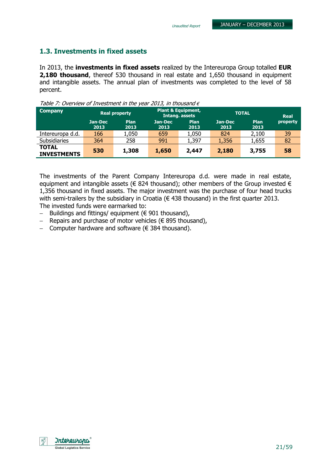#### 1.3. Investments in fixed assets

In 2013, the investments in fixed assets realized by the Intereuropa Group totalled EUR 2,180 thousand, thereof 530 thousand in real estate and 1,650 thousand in equipment and intangible assets. The annual plan of investments was completed to the level of 58 percent.

| <b>Company</b>                     | <b>Real property</b> |                     |                 | <b>Plant &amp; Equipment,</b><br>Intang. assets | <b>TOTAL</b>    | <b>Real</b>  |          |
|------------------------------------|----------------------|---------------------|-----------------|-------------------------------------------------|-----------------|--------------|----------|
|                                    | Jan-Dec<br>2013      | <b>Plan</b><br>2013 | Jan-Dec<br>2013 | <b>Plan</b><br>2013                             | Jan-Dec<br>2013 | Plan<br>2013 | property |
| Intereuropa d.d.                   | 166                  | 1,050               | 659             | 1,050                                           | 824             | 2,100        | 39       |
| <b>Subsidiaries</b>                | 364                  | 258                 | 991             | 1,397                                           | 1,356           | 1,655        | 82       |
| <b>TOTAL</b><br><b>INVESTMENTS</b> | 530                  | 1,308               | 1,650           | 2,447                                           | 2,180           | 3,755        | 58       |

Table 7: Overview of Investment in the year 2013, in thousand  $\epsilon$ 

The investments of the Parent Company Intereuropa d.d. were made in real estate, equipment and intangible assets ( $\epsilon$  824 thousand); other members of the Group invested  $\epsilon$ 1,356 thousand in fixed assets. The major investment was the purchase of four head trucks with semi-trailers by the subsidiary in Croatia ( $\epsilon$  438 thousand) in the first quarter 2013. The invested funds were earmarked to:

- − Buildings and fittings/ equipment (€ 901 thousand),
- − Repairs and purchase of motor vehicles (€ 895 thousand),
- − Computer hardware and software (€ 384 thousand).

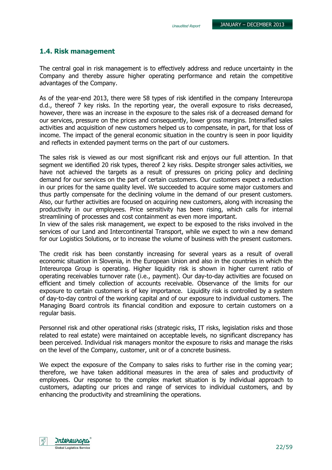#### 1.4. Risk management

The central goal in risk management is to effectively address and reduce uncertainty in the Company and thereby assure higher operating performance and retain the competitive advantages of the Company.

As of the year-end 2013, there were 58 types of risk identified in the company Intereuropa d.d., thereof 7 key risks. In the reporting year, the overall exposure to risks decreased, however, there was an increase in the exposure to the sales risk of a decreased demand for our services, pressure on the prices and consequently, lower gross margins. Intensified sales activities and acquisition of new customers helped us to compensate, in part, for that loss of income. The impact of the general economic situation in the country is seen in poor liquidity and reflects in extended payment terms on the part of our customers.

The sales risk is viewed as our most significant risk and enjoys our full attention. In that segment we identified 20 risk types, thereof 2 key risks. Despite stronger sales activities, we have not achieved the targets as a result of pressures on pricing policy and declining demand for our services on the part of certain customers. Our customers expect a reduction in our prices for the same quality level. We succeeded to acquire some major customers and thus partly compensate for the declining volume in the demand of our present customers. Also, our further activities are focused on acquiring new customers, along with increasing the productivity in our employees. Price sensitivity has been rising, which calls for internal streamlining of processes and cost containment as even more important.

In view of the sales risk management, we expect to be exposed to the risks involved in the services of our Land and Intercontinental Transport, while we expect to win a new demand for our Logistics Solutions, or to increase the volume of business with the present customers.

The credit risk has been constantly increasing for several years as a result of overall economic situation in Slovenia, in the European Union and also in the countries in which the Intereuropa Group is operating. Higher liquidity risk is shown in higher current ratio of operating receivables turnover rate (i.e., payment). Our day-to-day activities are focused on efficient and timely collection of accounts receivable. Observance of the limits for our exposure to certain customers is of key importance. Liquidity risk is controlled by a system of day-to-day control of the working capital and of our exposure to individual customers. The Managing Board controls its financial condition and exposure to certain customers on a regular basis.

Personnel risk and other operational risks (strategic risks, IT risks, legislation risks and those related to real estate) were maintained on acceptable levels, no significant discrepancy has been perceived. Individual risk managers monitor the exposure to risks and manage the risks on the level of the Company, customer, unit or of a concrete business.

We expect the exposure of the Company to sales risks to further rise in the coming year; therefore, we have taken additional measures in the area of sales and productivity of employees. Our response to the complex market situation is by individual approach to customers, adapting our prices and range of services to individual customers, and by enhancing the productivity and streamlining the operations.

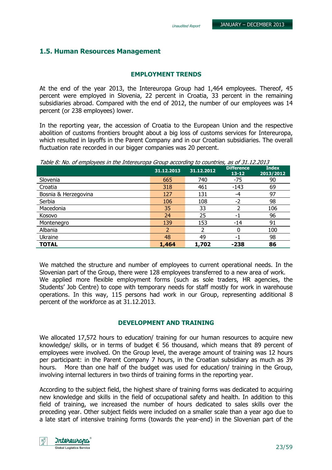### 1.5. Human Resources Management

#### EMPLOYMENT TRENDS

At the end of the year 2013, the Intereuropa Group had 1,464 employees. Thereof, 45 percent were employed in Slovenia, 22 percent in Croatia, 33 percent in the remaining subsidiaries abroad. Compared with the end of 2012, the number of our employees was 14 percent (or 238 employees) lower.

In the reporting year, the accession of Croatia to the European Union and the respective abolition of customs frontiers brought about a big loss of customs services for Intereuropa, which resulted in layoffs in the Parent Company and in our Croatian subsidiaries. The overall fluctuation rate recorded in our bigger companies was 20 percent.

Table 8: No. of employees in the Intereuropa Group according to countries, as of 31.12.2013

|                      | 31.12.2013 | 31.12.2012 | <b>Difference</b><br>$13 - 12$ | <b>Index</b><br>2013/2012 |
|----------------------|------------|------------|--------------------------------|---------------------------|
| Slovenia             | 665        | 740        | $-75$                          | 90                        |
| Croatia              | 318        | 461        | $-143$                         | 69                        |
| Bosnia & Herzegovina | 127        | 131        | -4                             | 97                        |
| Serbia               | 106        | 108        | $-2$                           | 98                        |
| Macedonia            | 35         | 33         |                                | 106                       |
| Kosovo               | 24         | 25         | -1                             | 96                        |
| Montenegro           | 139        | 153        | $-14$                          | 91                        |
| Albania              |            |            |                                | 100                       |
| Ukraine              | 48         | 49         | - 1                            | 98                        |
| <b>TOTAL</b>         | 1,464      | 1,702      | $-238$                         | 86                        |

We matched the structure and number of employees to current operational needs. In the Slovenian part of the Group, there were 128 employees transferred to a new area of work. We applied more flexible employment forms (such as sole traders, HR agencies, the Students' Job Centre) to cope with temporary needs for staff mostly for work in warehouse operations. In this way, 115 persons had work in our Group, representing additional 8 percent of the workforce as at 31.12.2013.

#### DEVELOPMENT AND TRAINING

We allocated 17,572 hours to education/ training for our human resources to acquire new knowledge/ skills, or in terms of budget  $\epsilon$  56 thousand, which means that 89 percent of employees were involved. On the Group level, the average amount of training was 12 hours per participant: in the Parent Company 7 hours, in the Croatian subsidiary as much as 39 hours. More than one half of the budget was used for education/ training in the Group, involving internal lecturers in two thirds of training forms in the reporting year.

According to the subject field, the highest share of training forms was dedicated to acquiring new knowledge and skills in the field of occupational safety and health. In addition to this field of training, we increased the number of hours dedicated to sales skills over the preceding year. Other subject fields were included on a smaller scale than a year ago due to a late start of intensive training forms (towards the year-end) in the Slovenian part of the

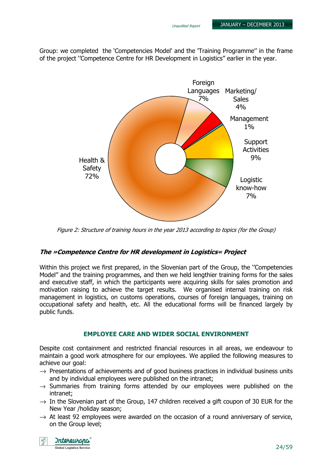Group: we completed the 'Competencies Model' and the 'Training Programme'' in the frame of the project ''Competence Centre for HR Development in Logistics'' earlier in the year.



Figure 2: Structure of training hours in the year 2013 according to topics (for the Group)

#### The »Competence Centre for HR development in Logistics« Project

Within this project we first prepared, in the Slovenian part of the Group, the ''Competencies Model'' and the training programmes, and then we held lengthier training forms for the sales and executive staff, in which the participants were acquiring skills for sales promotion and motivation raising to achieve the target results. We organised internal training on risk management in logistics, on customs operations, courses of foreign languages, training on occupational safety and health, etc. All the educational forms will be financed largely by public funds.

#### EMPLOYEE CARE AND WIDER SOCIAL ENVIRONMENT

Despite cost containment and restricted financial resources in all areas, we endeavour to maintain a good work atmosphere for our employees. We applied the following measures to achieve our goal:

- $\rightarrow$  Presentations of achievements and of good business practices in individual business units and by individual employees were published on the intranet;
- $\rightarrow$  Summaries from training forms attended by our employees were published on the intranet;
- $\rightarrow$  In the Slovenian part of the Group, 147 children received a gift coupon of 30 EUR for the New Year /holiday season;
- $\rightarrow$  At least 92 employees were awarded on the occasion of a round anniversary of service, on the Group level;

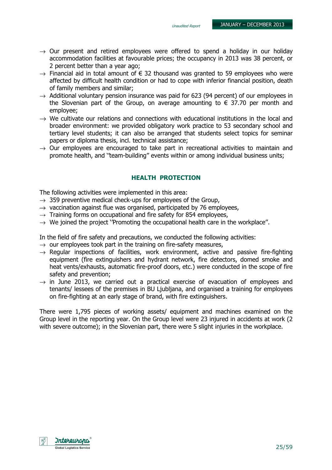- $\rightarrow$  Our present and retired employees were offered to spend a holiday in our holiday accommodation facilities at favourable prices; the occupancy in 2013 was 38 percent, or 2 percent better than a year ago;
- $\rightarrow$  Financial aid in total amount of  $\in$  32 thousand was granted to 59 employees who were affected by difficult health condition or had to cope with inferior financial position, death of family members and similar;
- $\rightarrow$  Additional voluntary pension insurance was paid for 623 (94 percent) of our employees in the Slovenian part of the Group, on average amounting to  $\epsilon$  37.70 per month and employee;
- $\rightarrow$  We cultivate our relations and connections with educational institutions in the local and broader environment: we provided obligatory work practice to 53 secondary school and tertiary level students; it can also be arranged that students select topics for seminar papers or diploma thesis, incl. technical assistance;
- $\rightarrow$  Our employees are encouraged to take part in recreational activities to maintain and promote health, and ''team-building'' events within or among individual business units;

#### HEALTH PROTECTION

The following activities were implemented in this area:

- $\rightarrow$  359 preventive medical check-ups for employees of the Group,
- $\rightarrow$  vaccination against flue was organised, participated by 76 employees,
- $\rightarrow$  Training forms on occupational and fire safety for 854 employees,
- $\rightarrow$  We joined the project "Promoting the occupational health care in the workplace".

In the field of fire safety and precautions, we conducted the following activities:

- $\rightarrow$  our employees took part in the training on fire-safety measures,
- $\rightarrow$  Regular inspections of facilities, work environment, active and passive fire-fighting equipment (fire extinguishers and hydrant network, fire detectors, domed smoke and heat vents/exhausts, automatic fire-proof doors, etc.) were conducted in the scope of fire safety and prevention;
- $\rightarrow$  in June 2013, we carried out a practical exercise of evacuation of employees and tenants/ lessees of the premises in BU Ljubljana, and organised a training for employees on fire-fighting at an early stage of brand, with fire extinguishers.

There were 1,795 pieces of working assets/ equipment and machines examined on the Group level in the reporting year. On the Group level were 23 injured in accidents at work (2 with severe outcome); in the Slovenian part, there were 5 slight injuries in the workplace.

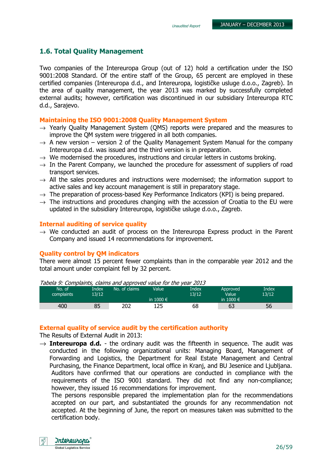#### 1.6. Total Quality Management

Two companies of the Intereuropa Group (out of 12) hold a certification under the ISO 9001:2008 Standard. Of the entire staff of the Group, 65 percent are employed in these certified companies (Intereuropa d.d., and Intereuropa, logističke usluge d.o.o., Zagreb). In the area of quality management, the year 2013 was marked by successfully completed external audits; however, certification was discontinued in our subsidiary Intereuropa RTC d.d., Sarajevo.

#### Maintaining the ISO 9001:2008 Quality Management System

- $\rightarrow$  Yearly Quality Management System (QMS) reports were prepared and the measures to improve the QM system were triggered in all both companies.
- $\rightarrow$  A new version version 2 of the Quality Management System Manual for the company Intereuropa d.d. was issued and the third version is in preparation.
- $\rightarrow$  We modernised the procedures, instructions and circular letters in customs broking.
- $\rightarrow$  In the Parent Company, we launched the procedure for assessment of suppliers of road transport services.
- $\rightarrow$  All the sales procedures and instructions were modernised; the information support to active sales and key account management is still in preparatory stage.
- $\rightarrow$  The preparation of process-based Key Performance Indicators (KPI) is being prepared.
- $\rightarrow$  The instructions and procedures changing with the accession of Croatia to the EU were updated in the subsidiary Intereuropa, logističke usluge d.o.o., Zagreb.

#### Internal auditing of service quality

 $\rightarrow$  We conducted an audit of process on the Intereuropa Express product in the Parent Company and issued 14 recommendations for improvement.

#### Quality control by QM indicators

There were almost 15 percent fewer complaints than in the comparable year 2012 and the total amount under complaint fell by 32 percent.

| rabela 5: complaints, claims and approved value for the year 2015 |       |               |               |       |                    |       |  |
|-------------------------------------------------------------------|-------|---------------|---------------|-------|--------------------|-------|--|
| No. of                                                            | Index | No. of claims | Value         | Index | Approved           | Index |  |
| complaints                                                        | 13/12 |               |               | 13/12 | Value <sup>1</sup> | 13/12 |  |
|                                                                   |       |               | in $1000 \in$ |       | in 1000 $\in$      |       |  |
| 400                                                               | 85    | 202           | 125           | 68    | 63                 | 56    |  |

Tabela 9: Complaints, claims and approved value for the year 2013

#### External quality of service audit by the certification authority

The Results of External Audit in 2013:

 $\rightarrow$  Intereuropa d.d. - the ordinary audit was the fifteenth in sequence. The audit was conducted in the following organizational units: Managing Board, Management of Forwarding and Logistics, the Department for Real Estate Management and Central Purchasing, the Finance Department, local office in Kranj, and BU Jesenice and Ljubljana. Auditors have confirmed that our operations are conducted in compliance with the requirements of the ISO 9001 standard. They did not find any non-compliance; however, they issued 16 recommendations for improvement.

The persons responsible prepared the implementation plan for the recommendations accepted on our part, and substantiated the grounds for any recommendation not accepted. At the beginning of June, the report on measures taken was submitted to the certification body.

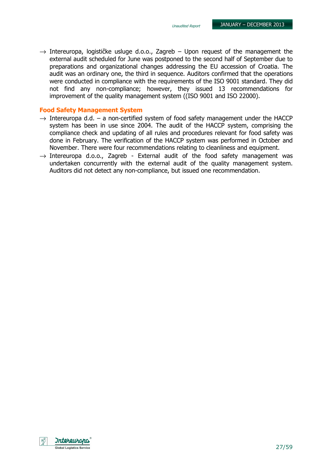$\rightarrow$  Intereuropa, logističke usluge d.o.o., Zagreb – Upon request of the management the external audit scheduled for June was postponed to the second half of September due to preparations and organizational changes addressing the EU accession of Croatia. The audit was an ordinary one, the third in sequence. Auditors confirmed that the operations were conducted in compliance with the requirements of the ISO 9001 standard. They did not find any non-compliance; however, they issued 13 recommendations for improvement of the quality management system ((ISO 9001 and ISO 22000).

#### Food Safety Management System

- $\rightarrow$  Intereuropa d.d. a non-certified system of food safety management under the HACCP system has been in use since 2004. The audit of the HACCP system, comprising the compliance check and updating of all rules and procedures relevant for food safety was done in February. The verification of the HACCP system was performed in October and November. There were four recommendations relating to cleanliness and equipment.
- $\rightarrow$  Intereuropa d.o.o., Zagreb External audit of the food safety management was undertaken concurrently with the external audit of the quality management system. Auditors did not detect any non-compliance, but issued one recommendation.

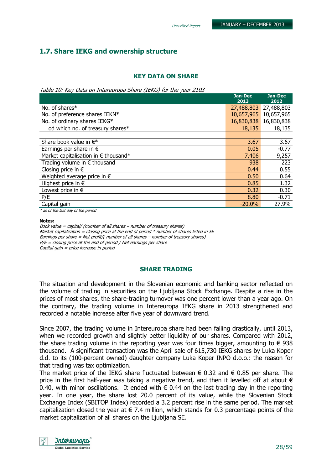## 1.7. Share IEKG and ownership structure

#### KEY DATA ON SHARE

Table 10: Key Data on Intereuropa Share (IEKG) for the year 2103

|                                               | Jan-Dec<br>2013 | Jan-Dec<br>2012 |
|-----------------------------------------------|-----------------|-----------------|
| No. of shares*                                | 27,488,803      | 27,488,803      |
| No. of preference shares IEKN*                | 10,657,965      | 10,657,965      |
| No. of ordinary shares IEKG*                  | 16,830,838      | 16,830,838      |
| od which no. of treasury shares*              | 18,135          | 18,135          |
|                                               |                 |                 |
| Share book value in $\epsilon^*$              | 3.67            | 3.67            |
| Earnings per share in $\epsilon$              | 0.05            | $-0.77$         |
| Market capitalisation in $\epsilon$ thousand* | 7,406           | 9,257           |
| Trading volume in $\epsilon$ thousand         | 938             | 223             |
| Closing price in $\epsilon$                   | 0.44            | 0.55            |
| Weighted average price in $\epsilon$          | 0.50            | 0.64            |
| Highest price in $\epsilon$                   | 0.85            | 1.32            |
| Lowest price in $\epsilon$                    | 0.32            | 0.30            |
| P/E                                           | 8.80            | $-0.71$         |
| Capital gain                                  | $-20.0\%$       | 27.9%           |
| * as of the last day of the period            |                 |                 |

Notes:

Book value = capital/ (number of all shares – number of treasury shares) Market capitalisation = closing price at the end of period  $*$  number of shares listed in SE Earnings per share = Net profit/( number of all shares – number of treasury shares)  $P/E = closing$  price at the end of period / Net earnings per share Capital gain = price increase in period

#### SHARE TRADING

The situation and development in the Slovenian economic and banking sector reflected on the volume of trading in securities on the Ljubljana Stock Exchange. Despite a rise in the prices of most shares, the share-trading turnover was one percent lower than a year ago. On the contrary, the trading volume in Intereuropa IEKG share in 2013 strengthened and recorded a notable increase after five year of downward trend.

Since 2007, the trading volume in Intereuropa share had been falling drastically, until 2013, when we recorded growth and slightly better liquidity of our shares. Compared with 2012, the share trading volume in the reporting year was four times bigger, amounting to  $\epsilon$  938 thousand. A significant transaction was the April sale of 615,730 IEKG shares by Luka Koper d.d. to its (100-percent owned) daughter company Luka Koper INPO d.o.o.: the reason for that trading was tax optimization.

The market price of the IEKG share fluctuated between  $\epsilon$  0.32 and  $\epsilon$  0.85 per share. The price in the first half-year was taking a negative trend, and then it levelled off at about  $\epsilon$ 0.40, with minor oscillations. It ended with  $\epsilon$  0.44 on the last trading day in the reporting year. In one year, the share lost 20.0 percent of its value, while the Slovenian Stock Exchange Index (SBITOP Index) recorded a 3.2 percent rise in the same period. The market capitalization closed the year at  $\epsilon$  7.4 million, which stands for 0.3 percentage points of the market capitalization of all shares on the Ljubljana SE.

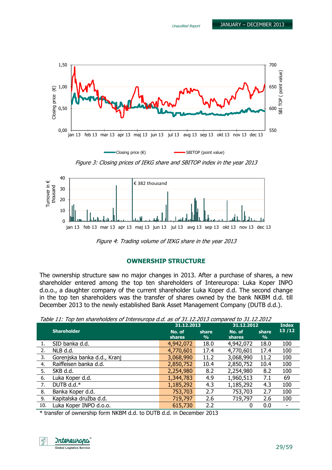

Figure 3: Closing prices of IEKG share and SBITOP index in the year 2013



Figure 4: Trading volume of IEKG share in the year 2013

#### OWNERSHIP STRUCTURE

The ownership structure saw no major changes in 2013. After a purchase of shares, a new shareholder entered among the top ten shareholders of Intereuropa: Luka Koper INPO d.o.o., a daughter company of the current shareholder Luka Koper d.d. The second change in the top ten shareholders was the transfer of shares owned by the bank NKBM d.d. till December 2013 to the newly established Bank Asset Management Company (DUTB d.d.).

Table 11: Top ten shareholders of Intereuropa d.d. as of 31.12.2013 compared to 31.12.2012

|     | rabic 11, Top temphanemolders of Interest operator as or SIMILIZIZO compared to SIMILIZIZO | 31.12.2013              |                        | 31.12.2012              | <b>Index</b>           |       |
|-----|--------------------------------------------------------------------------------------------|-------------------------|------------------------|-------------------------|------------------------|-------|
|     | <b>Shareholder</b>                                                                         | No. of<br><b>shares</b> | share<br>$\frac{9}{6}$ | No. of<br><b>shares</b> | share<br>$\frac{9}{6}$ | 13/12 |
| 1.  | SID banka d.d.                                                                             | 4,942,072               | 18.0                   | 4,942,072               | 18.0                   | 100   |
| 2.  | NLB d.d.                                                                                   | 4,770,601               | 17.4                   | 4,770,601               | 17.4                   | 100   |
| 3.  | Gorenjska banka d.d., Kranj                                                                | 3,068,990               | 11.2                   | 3,068,990               | 11.2                   | 100   |
| 4.  | Raiffeisen banka d.d.                                                                      | 2,850,752               | 10.4                   | 2,850,752               | 10.4                   | 100   |
| 5.  | SKB d.d.                                                                                   | 2,254,980               | 8.2                    | 2,254,980               | 8.2                    | 100   |
| 6.  | Luka Koper d.d.                                                                            | 1,344,783               | 4.9                    | 1,960,513               | 7.1                    | 69    |
| 7.  | DUTB d.d. $*$                                                                              | 1,185,292               | 4.3                    | 1,185,292               | 4.3                    | 100   |
| 8.  | Banka Koper d.d.                                                                           | 753,703                 | 2.7                    | 753,703                 | 2.7                    | 100   |
| 9.  | Kapitalska družba d.d.                                                                     | 719,797                 | 2.6                    | 719,797                 | 2.6                    | 100   |
| 10. | Luka Koper INPO d.o.o.                                                                     | 615,730                 | 2.2                    |                         | 0.0                    |       |

\* transfer of ownership form NKBM d.d. to DUTB d.d. in December 2013

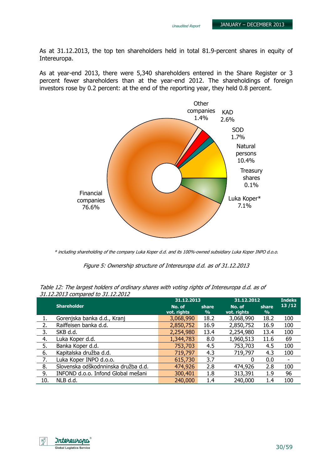As at 31.12.2013, the top ten shareholders held in total 81.9-percent shares in equity of Intereuropa.

As at year-end 2013, there were 5,340 shareholders entered in the Share Register or 3 percent fewer shareholders than at the year-end 2012. The shareholdings of foreign investors rose by 0.2 percent: at the end of the reporting year, they held 0.8 percent.



\* including shareholding of the company Luka Koper d.d. and its 100%-owned subsidiary Luka Koper INPO d.o.o.

Figure 5: Ownership structure of Intereuropa d.d. as of 31.12.2013

| Table 12: The largest holders of ordinary shares with voting rights of Intereuropa d.d. as of |  |  |
|-----------------------------------------------------------------------------------------------|--|--|
| 31.12.2013 compared to 31.12.2012                                                             |  |  |

|     |                                     | 31.12.2013            |            | 31.12.2012            |                         | <b>Indeks</b> |
|-----|-------------------------------------|-----------------------|------------|-----------------------|-------------------------|---------------|
|     | <b>Shareholder</b>                  | No. of<br>vot. rights | share<br>% | No. of<br>vot. rights | share.<br>$\frac{9}{6}$ | 13/12         |
| 1.  | Gorenjska banka d.d., Kranj         | 3,068,990             | 18.2       | 3,068,990             | 18.2                    | 100           |
| 2.  | Raiffeisen banka d.d.               | 2,850,752             | 16.9       | 2,850,752             | 16.9                    | 100           |
| 3.  | SKB d.d.                            | 2,254,980             | 13.4       | 2,254,980             | 13.4                    | 100           |
| 4.  | Luka Koper d.d.                     | 1,344,783             | 8.0        | 1,960,513             | 11.6                    | 69            |
| 5.  | Banka Koper d.d.                    | 753,703               | 4.5        | 753,703               | 4.5                     | 100           |
| 6.  | Kapitalska družba d.d.              | 719,797               | 4.3        | 719,797               | 4.3                     | 100           |
| 7.  | Luka Koper INPO d.o.o.              | 615,730               | 3.7        | 0                     | 0.0                     |               |
| 8.  | Slovenska odškodnninska družba d.d. | 474,926               | 2.8        | 474,926               | 2.8                     | 100           |
| 9.  | INFOND d.o.o. Infond Global mešani  | 300,401               | 1.8        | 313,391               | 1.9                     | 96            |
| 10. | NLB d.d.                            | 240,000               | 1.4        | 240,000               | 1.4                     | 100           |

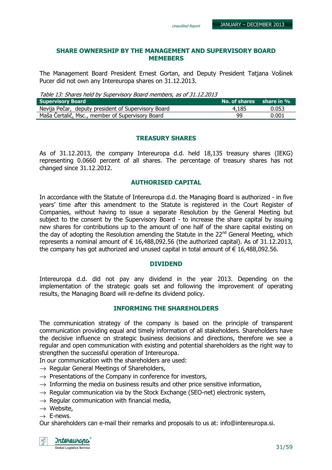#### SHARE OWNERSHIP BY THE MANAGEMENT AND SUPERVISORY BOARD MEMEBERS

The Management Board President Ernest Gortan, and Deputy President Tatjana Vošinek Pucer did not own any Intereuropa shares on 31.12.2013.

Table 13: Shares held by Supervisory Board members, as of 31.12.2013

| <b>Supervisory Board</b>                            | No. of shares share in % |       |
|-----------------------------------------------------|--------------------------|-------|
| Nevija Pečar, deputy president of Supervisory Board | 4,185                    | 0.053 |
| Maša Čertalič, Msc., member of Supervisory Board    | 99                       | 0.001 |

#### TREASURY SHARES

As of 31.12.2013, the company Intereuropa d.d. held 18,135 treasury shares (IEKG) representing 0.0660 percent of all shares. The percentage of treasury shares has not changed since 31.12.2012.

#### AUTHORISED CAPITAL

In accordance with the Statute of Intereuropa d.d. the Managing Board is authorized - in five years' time after this amendment to the Statute is registered in the Court Register of Companies, without having to issue a separate Resolution by the General Meeting but subject to the consent by the Supervisory Board - to increase the share capital by issuing new shares for contributions up to the amount of one half of the share capital existing on the day of adopting the Resolution amending the Statute in the 22<sup>nd</sup> General Meeting, which represents a nominal amount of  $\epsilon$  16,488,092.56 (the authorized capital). As of 31.12.2013, the company has got authorized and unused capital in total amount of  $\epsilon$  16,488,092.56.

#### DIVIDEND

Intereuropa d.d. did not pay any dividend in the year 2013. Depending on the implementation of the strategic goals set and following the improvement of operating results, the Managing Board will re-define its dividend policy.

#### INFORMING THE SHAREHOLDERS

The communication strategy of the company is based on the principle of transparent communication providing equal and timely information of all stakeholders. Shareholders have the decisive influence on strategic business decisions and directions, therefore we see a regular and open communication with existing and potential shareholders as the right way to strengthen the successful operation of Intereuropa.

In our communication with the shareholders are used:

- $\rightarrow$  Regular General Meetings of Shareholders,
- $\rightarrow$  Presentations of the Company in conference for investors,
- $\rightarrow$  Informing the media on business results and other price sensitive information,
- $\rightarrow$  Regular communication via by the Stock Exchange (SEO-net) electronic system,
- $\rightarrow$  Regular communication with financial media,
- $\rightarrow$  Website.
- $\rightarrow$  E-news.

Our shareholders can e-mail their remarks and proposals to us at: info@intereuropa.si.

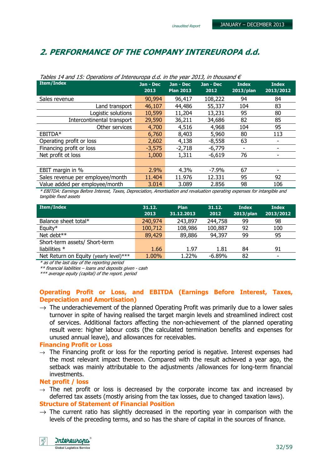## 2. PERFORMANCE OF THE COMPANY INTEREUROPA d.d.

| Tables 14 and 15. Operations of thiefearopa d.d. In the year 2015, in thousand $\epsilon$                                   |                   |                               |                   |                           |                           |  |
|-----------------------------------------------------------------------------------------------------------------------------|-------------------|-------------------------------|-------------------|---------------------------|---------------------------|--|
| <b>Item/Index</b>                                                                                                           | Jan - Dec<br>2013 | Jan - Dec<br><b>Plan 2013</b> | Jan - Dec<br>2012 | <b>Index</b><br>2013/plan | <b>Index</b><br>2013/2012 |  |
| Sales revenue                                                                                                               | 90,994            | 96,417                        | 108,222           | 94                        | 84                        |  |
| Land transport                                                                                                              | 46,107            | 44,486                        | 55,337            | 104                       | 83                        |  |
| Logistic solutions                                                                                                          | 10,599            | 11,204                        | 13,231            | 95                        | 80                        |  |
| Intercontinental transport                                                                                                  | 29,590            | 36,211                        | 34,686            | 82                        | 85                        |  |
| Other services                                                                                                              | 4,700             | 4,516                         | 4,968             | 104                       | 95                        |  |
| EBITDA*                                                                                                                     | 6,760             | 8,403                         | 5,960             | 80                        | 113                       |  |
| Operating profit or loss                                                                                                    | 2,602             | 4,138                         | $-8,558$          | 63                        |                           |  |
| Financing profit or loss                                                                                                    | $-3,575$          | $-2,718$                      | $-6,779$          |                           |                           |  |
| Net profit ot loss                                                                                                          | 1,000             | 1,311                         | $-6,619$          | 76                        |                           |  |
|                                                                                                                             |                   |                               |                   |                           |                           |  |
| EBIT margin in %                                                                                                            | 2.9%              | 4.3%                          | $-7.9\%$          | 67                        |                           |  |
| Sales revenue per employee/month                                                                                            | 11.404            | 11.976                        | 12.331            | 95                        | 92                        |  |
| Value added per employee/month                                                                                              | 3.014             | 3.089                         | 2.856             | 98                        | 106                       |  |
| * ERITDA: Earnings Refore Interest, Tayes, Depresiation, Amortication and revaluation operating expenses for intangible and |                   |                               |                   |                           |                           |  |

 $T^{\text{ch}}$  and  $T^{\text{th}}$ . Operations of Intereuropa d.d. in the year 2012, in the year d.G.

\* EBITDA: Earnings Before Interest, Taxes, Depreciation, Amortisation and revaluation operating expenses for intangible and tangible fixed assets

| Item/Index                             | 31.12.<br>2013 | <b>Plan</b><br>31.12.2013 | 31.12.<br>2012 | <b>Index</b><br>2013/plan | <b>Index</b><br>2013/2012 |
|----------------------------------------|----------------|---------------------------|----------------|---------------------------|---------------------------|
| Balance sheet total*                   | 240,974        | 243,897                   | 244,758        | 99                        | 98                        |
| Equity*                                | 100,712        | 108,986                   | 100,887        | 92                        | 100                       |
| Net debt**                             | 89,429         | 89,886                    | 94,397         | 99                        | 95                        |
| Short-term assets/ Short-term          |                |                           |                |                           |                           |
| liabilities $*$                        | 1.66           | 1.97                      | 1.81           | 84                        | 91                        |
| Net Return on Equity (yearly level)*** | 1.00%          | 1.22%                     | $-6.89%$       | 82                        | $\overline{\phantom{0}}$  |

\* as of the last day of the reporting period

\*\* financial liabilities – loans and deposits given - cash

\*\*\* average equity (capital) of the report. period

#### Operating Profit or Loss, and EBITDA (Earnings Before Interest, Taxes, Depreciation and Amortisation)

 $\rightarrow$  The underachievement of the planned Operating Profit was primarily due to a lower sales turnover in spite of having realised the target margin levels and streamlined indirect cost of services. Additional factors affecting the non-achievement of the planned operating result were: higher labour costs (the calculated termination benefits and expenses for unused annual leave), and allowances for receivables.

#### Financing Profit or Loss

 $\rightarrow$  The Financing profit or loss for the reporting period is negative. Interest expenses had the most relevant impact thereon. Compared with the result achieved a year ago, the setback was mainly attributable to the adjustments /allowances for long-term financial investments.

#### Net profit / loss

 $\rightarrow$  The net profit or loss is decreased by the corporate income tax and increased by deferred tax assets (mostly arising from the tax losses, due to changed taxation laws).

#### Structure of Statement of Financial Position

 $\rightarrow$  The current ratio has slightly decreased in the reporting year in comparison with the levels of the preceding terms, and so has the share of capital in the sources of finance.

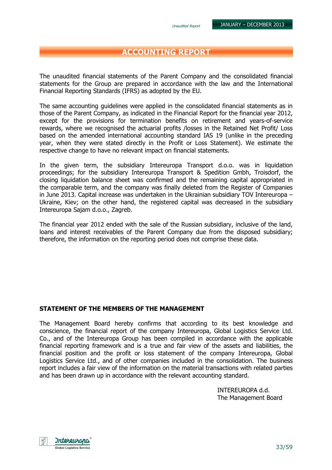## ACCOUNTING REPORT

The unaudited financial statements of the Parent Company and the consolidated financial statements for the Group are prepared in accordance with the law and the International Financial Reporting Standards (IFRS) as adopted by the EU.

The same accounting guidelines were applied in the consolidated financial statements as in those of the Parent Company, as indicated in the Financial Report for the financial year 2012, except for the provisions for termination benefits on retirement and years-of-service rewards, where we recognised the actuarial profits /losses in the Retained Net Profit/ Loss based on the amended international accounting standard IAS 19 (unlike in the preceding year, when they were stated directly in the Profit or Loss Statement). We estimate the respective change to have no relevant impact on financial statements.

In the given term, the subsidiary Intereuropa Transport d.o.o. was in liquidation proceedings; for the subsidiary Intereuropa Transport & Spedition Gmbh, Troisdorf, the closing liquidation balance sheet was confirmed and the remaining capital appropriated in the comparable term, and the company was finally deleted from the Register of Companies in June 2013. Capital increase was undertaken in the Ukrainian subsidiary TOV Intereuropa – Ukraine, Kiev; on the other hand, the registered capital was decreased in the subsidiary Intereuropa Sajam d.o.o., Zagreb.

The financial year 2012 ended with the sale of the Russian subsidiary, inclusive of the land, loans and interest receivables of the Parent Company due from the disposed subsidiary; therefore, the information on the reporting period does not comprise these data.

#### STATEMENT OF THE MEMBERS OF THE MANAGEMENT

The Management Board hereby confirms that according to its best knowledge and conscience, the financial report of the company Intereuropa, Global Logistics Service Ltd. Co., and of the Intereuropa Group has been compiled in accordance with the applicable financial reporting framework and is a true and fair view of the assets and liabilities, the financial position and the profit or loss statement of the company Intereuropa, Global Logistics Service Ltd., and of other companies included in the consolidation. The business report includes a fair view of the information on the material transactions with related parties and has been drawn up in accordance with the relevant accounting standard.

> INTEREUROPA d.d. The Management Board

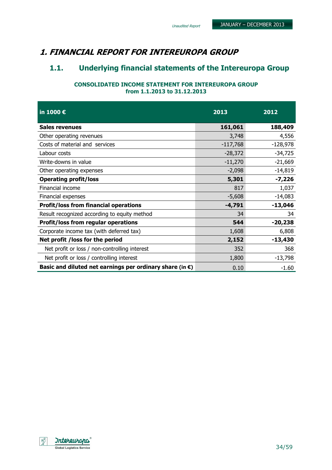## 1. FINANCIAL REPORT FOR INTEREUROPA GROUP

## 1.1. Underlying financial statements of the Intereuropa Group

Unaudited Report

#### CONSOLIDATED INCOME STATEMENT FOR INTEREUROPA GROUP from 1.1.2013 to 31.12.2013

| in 1000 €                                                          | 2013       | 2012       |
|--------------------------------------------------------------------|------------|------------|
| <b>Sales revenues</b>                                              | 161,061    | 188,409    |
| Other operating revenues                                           | 3,748      | 4,556      |
| Costs of material and services                                     | $-117,768$ | $-128,978$ |
| Labour costs                                                       | $-28,372$  | $-34,725$  |
| Write-downs in value                                               | $-11,270$  | $-21,669$  |
| Other operating expenses                                           | $-2,098$   | $-14,819$  |
| <b>Operating profit/loss</b>                                       | 5,301      | $-7,226$   |
| Financial income                                                   | 817        | 1,037      |
| Financial expenses                                                 | $-5,608$   | $-14,083$  |
| <b>Profit/loss from financial operations</b>                       | $-4,791$   | $-13,046$  |
| Result recognized according to equity method                       | 34         | 34         |
| <b>Profit/loss from regular operations</b>                         | 544        | $-20,238$  |
| Corporate income tax (with deferred tax)                           | 1,608      | 6,808      |
| Net profit / loss for the period                                   | 2,152      | $-13,430$  |
| Net profit or loss / non-controlling interest                      | 352        | 368        |
| Net profit or loss / controlling interest                          | 1,800      | $-13,798$  |
| Basic and diluted net earnings per ordinary share (in $\epsilon$ ) | 0.10       | -1.60      |

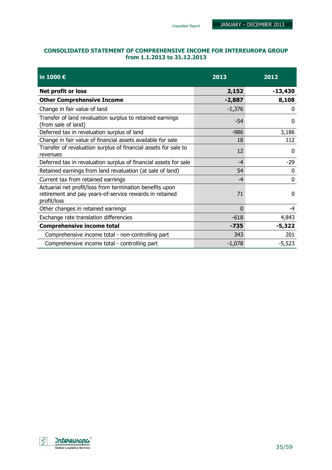#### CONSOLIDATED STATEMENT OF COMPREHENSIVE INCOME FOR INTEREUROPA GROUP from 1.1.2013 to 31.12.2013

| in 1000 €                                                                                                                          | 2013     | 2012         |
|------------------------------------------------------------------------------------------------------------------------------------|----------|--------------|
| Net profit or loss                                                                                                                 | 2,152    | $-13,430$    |
| <b>Other Comprehensive Income</b>                                                                                                  | $-2,887$ | 8,108        |
| Change in fair value of land                                                                                                       | $-1,376$ | $\mathbf{0}$ |
| Transfer of land revaluation surplus to retained earnings<br>(from sale of land)                                                   | $-54$    | $\mathbf{0}$ |
| Deferred tax in revaluation surplus of land                                                                                        | $-986$   | 3,186        |
| Change in fair value of financial assets available for sale                                                                        | 18       | 112          |
| Transfer of revaluation surplus of financial assets for sale to<br>revenues                                                        | 12       | $\Omega$     |
| Deferred tax in revaluation surplus of financial assets for sale                                                                   | $-4$     | $-29$        |
| Retained earnings from land revaluation (at sale of land)                                                                          | 54       | 0            |
| Current tax from retained earnings                                                                                                 | $-4$     | $\mathbf 0$  |
| Actuarial net profit/loss from termination benefits upon<br>retirement and pay years-of-service rewards in retained<br>profit/loss | 71       | $\Omega$     |
| Other changes in retained earnings                                                                                                 | 0        | -4           |
| Exchange rate translation differencies                                                                                             | $-618$   | 4,843        |
| <b>Comprehensive income total</b>                                                                                                  | $-735$   | $-5,322$     |
| Comprehensive income total - non-controlling part                                                                                  | 343      | 201          |
| Comprehensive income total - controlling part                                                                                      | $-1,078$ | $-5,523$     |

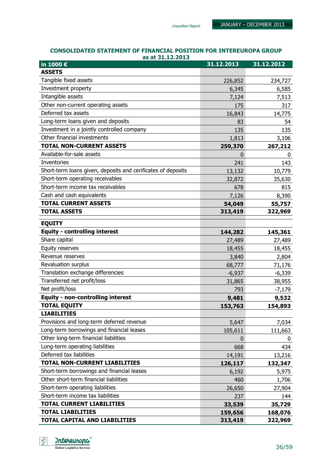#### CONSOLIDATED STATEMENT OF FINANCIAL POSITION FOR INTEREUROPA GROUP as at 31.12.2013

| in 1000 €                                                    | 31.12.2013  | 31.12.2012 |
|--------------------------------------------------------------|-------------|------------|
| <b>ASSETS</b>                                                |             |            |
| Tangible fixed assets                                        | 226,852     | 234,727    |
| Investment property                                          | 6,345       | 6,585      |
| Intangible assets                                            | 7,124       | 7,513      |
| Other non-current operating assets                           | 175         | 317        |
| Deferred tax assets                                          | 16,843      | 14,775     |
| Long-term loans given and deposits                           | 83          | 54         |
| Investment in a jointly controlled company                   | 135         | 135        |
| Other financial investments                                  | 1,813       | 3,106      |
| <b>TOTAL NON-CURRENT ASSETS</b>                              | 259,370     | 267,212    |
| Available-for-sale assets                                    | 0           | 0          |
| <b>Inventories</b>                                           | 241         | 143        |
| Short-term loans given, deposits and cerificates of deposits | 13,132      | 10,779     |
| Short-term operating receivables                             | 32,872      | 35,630     |
| Short-term income tax receivables                            | 678         | 815        |
| Cash and cash equivalents                                    | 7,126       | 8,390      |
| <b>TOTAL CURRENT ASSETS</b>                                  | 54,049      | 55,757     |
| <b>TOTAL ASSETS</b>                                          | 313,419     | 322,969    |
| <b>EQUITY</b>                                                |             |            |
| <b>Equity - controlling interest</b>                         | 144,282     | 145,361    |
| Share capital                                                | 27,489      | 27,489     |
| Equity reserves                                              | 18,455      | 18,455     |
| Revenue reserves                                             | 3,840       | 2,804      |
| Revaluation surplus                                          | 68,777      | 71,176     |
| Translation exchange differencies                            | $-6,937$    | $-6,339$   |
| Transferred net profit/loss                                  | 31,865      | 38,955     |
| Net profit/loss                                              | 793         | $-7,179$   |
| <b>Equity - non-controlling interest</b>                     | 9,481       | 9,532      |
| <b>TOTAL EQUITY</b>                                          | 153,763     | 154,893    |
| <b>LIABILITIES</b>                                           |             |            |
| Provisions and long-term deferred revenue                    | 5,647       | 7,034      |
| Long-term borrowings and financial leases                    | 105,611     | 111,663    |
| Other long-term financial liabilities                        | $\mathbf 0$ | 0          |
| Long-term operating liabilities                              | 668         | 434        |
| Deferred tax liabilities                                     | 14,191      | 13,216     |
| <b>TOTAL NON-CURRENT LIABILITIES</b>                         | 126,117     | 132,347    |
| Short-term borrowings and financial leases                   | 6,192       | 5,975      |
| Other short-term financial liabilities                       | 460         | 1,706      |
| Short-term operating liabilities                             | 26,650      | 27,904     |
| Short-term income tax liabilities                            | 237         | 144        |
| <b>TOTAL CURRENT LIABILITIES</b>                             | 33,539      | 35,729     |
| <b>TOTAL LIABILITIES</b>                                     | 159,656     | 168,076    |
| TOTAL CAPITAL AND LIABILITIES                                | 313,419     | 322,969    |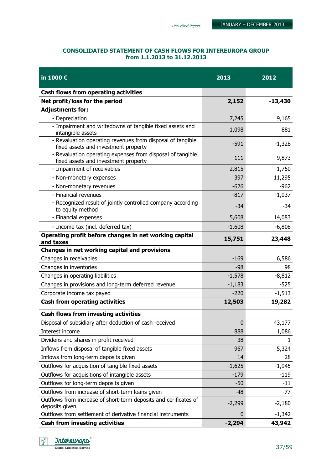#### CONSOLIDATED STATEMENT OF CASH FLOWS FOR INTEREUROPA GROUP from 1.1.2013 to 31.12.2013

| in 1000 €                                                                                          | 2013             | 2012      |
|----------------------------------------------------------------------------------------------------|------------------|-----------|
| <b>Cash flows from operating activities</b>                                                        |                  |           |
| Net profit/loss for the period                                                                     | 2,152            | $-13,430$ |
| <b>Adjustments for:</b>                                                                            |                  |           |
| - Depreciation                                                                                     | 7,245            | 9,165     |
| - Impairment and writedowns of tangible fixed assets and<br>intangible assets                      | 1,098            | 881       |
| - Revaluation operating revenues from disposal of tangible<br>fixed assets and investment property | $-591$           | $-1,328$  |
| - Revaluation operating expenses from disposal of tangible<br>fixed assets and investment property | 111              | 9,873     |
| - Impairment of receivables                                                                        | 2,815            | 1,750     |
| - Non-monetary expenses                                                                            | 397              | 11,295    |
| - Non-monetary revenues                                                                            | $-626$           | $-962$    |
| - Financial revenues                                                                               | $-817$           | $-1,037$  |
| - Recognized result of jointly controlled company according<br>to equity method                    | $-34$            | -34       |
| - Financial expenses                                                                               | 5,608            | 14,083    |
| - Income tax (incl. deferred tax)                                                                  | $-1,608$         | $-6,808$  |
| Operating profit before changes in net working capital<br>and taxes                                | 15,751           | 23,448    |
| Changes in net working capital and provisions                                                      |                  |           |
| Changes in receivables                                                                             | $-169$           | 6,586     |
| Changes in inventories                                                                             | -98              | 98        |
| Changes in operating liabilities                                                                   | $-1,578$         | $-8,812$  |
| Changes in provisions and long-term deferred revenue                                               | $-1,183$         | $-525$    |
| Corporate income tax payed                                                                         | $-220$           | $-1,513$  |
| <b>Cash from operating activities</b>                                                              | 12,503           | 19,282    |
| <b>Cash flows from investing activities</b>                                                        |                  |           |
| Disposal of subsidiary after deduction of cash received                                            | 0                | 43,177    |
| Interest income                                                                                    | 888              | 1,086     |
| Dividens and shares in profit received                                                             | 38               | 1         |
| Inflows from disposal of tangible fixed assets                                                     | 967              | 5,324     |
| Inflows from long-term deposits given                                                              | 14               | 28        |
| Outflows for acquisition of tangible fixed assets                                                  | $-1,625$         | $-1,945$  |
| Outflows for acquisitions of intangible assets                                                     | $-179$           | $-119$    |
| Outflows for long-term deposits given                                                              | $-50$            | $-11$     |
| Outflows from increase of short-term loans given                                                   | $-48$            | $-77$     |
| Outflows from increase of short-term deposits and cerificates of<br>deposits given                 | $-2,299$         | $-2,180$  |
| Outflows from settlement of derivative financial instruments                                       | $\boldsymbol{0}$ | $-1,342$  |
| <b>Cash from investing activities</b>                                                              | $-2,294$         | 43,942    |

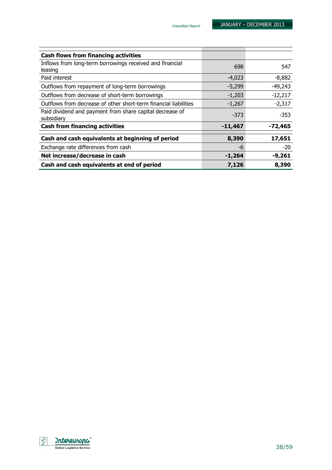| <b>Cash flows from financing activities</b>                            |           |           |
|------------------------------------------------------------------------|-----------|-----------|
| Inflows from long-term borrowings received and financial               | 698       | 547       |
| leasing                                                                |           |           |
| Paid interest                                                          | $-4,023$  | $-8,882$  |
| Outflows from repayment of long-term borrowings                        | $-5,299$  | $-49,243$ |
| Outflows from decrease of short-term borrowings                        | $-1,203$  | $-12,217$ |
| Outflows from decrease of other short-term financial liabilities       | $-1,267$  | $-2,317$  |
| Paid dividend and payment from share capital decrease of<br>subsidiary | -373      | $-353$    |
|                                                                        |           |           |
| <b>Cash from financing activities</b>                                  | $-11,467$ | $-72,465$ |
|                                                                        |           |           |
| Cash and cash equivalents at beginning of period                       | 8,390     | 17,651    |
| Exchange rate differences from cash                                    | -6        | $-20$     |
| Net increase/decrease in cash                                          | $-1,264$  | $-9,261$  |
| Cash and cash equivalents at end of period                             | 7,126     | 8,390     |

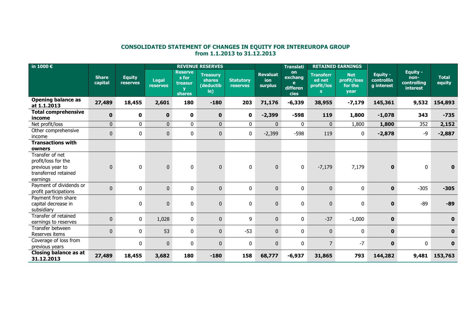## CONSOLIDATED STATEMENT OF CHANGES IN EQUITY FOR INTEREUROPA GROUP from 1.1.2013 to 31.12.2013

| in 1000 $\epsilon$                                                                             |                         |                                  |                                 |                                              | <b>REVENUE RESERVES</b>                       |                              |                                          | <b>Translati</b>                       |                                                | <b>RETAINED EARNINGS</b>                            |                                             |                                                           |                        |
|------------------------------------------------------------------------------------------------|-------------------------|----------------------------------|---------------------------------|----------------------------------------------|-----------------------------------------------|------------------------------|------------------------------------------|----------------------------------------|------------------------------------------------|-----------------------------------------------------|---------------------------------------------|-----------------------------------------------------------|------------------------|
|                                                                                                | <b>Share</b><br>capital | <b>Equity</b><br><b>reserves</b> | <b>Legal</b><br><b>reserves</b> | <b>Reserve</b><br>s for<br>treasur<br>shares | <b>Treasurv</b><br>shares<br>(deductib<br>le) | <b>Statutory</b><br>reserves | <b>Revaluat</b><br>ion<br><b>surplus</b> | on<br>exchang<br>e<br>differen<br>cies | <b>Transferr</b><br>ed net<br>profit/los<br>s. | <b>Net</b><br>profit/loss<br>for the<br><b>year</b> | Equity -<br><b>controllin</b><br>g interest | Equity -<br>non-<br><b>controlling</b><br><b>interest</b> | <b>Total</b><br>equity |
| <b>Opening balance as</b><br>at 1.1.2013                                                       | 27,489                  | 18,455                           | 2,601                           | 180                                          | $-180$                                        | 203                          | 71,176                                   | $-6,339$                               | 38,955                                         | $-7,179$                                            | 145,361                                     | 9,532                                                     | 154,893                |
| <b>Total comprehensive</b><br>income                                                           | $\mathbf 0$             | $\mathbf 0$                      | $\bf{0}$                        | $\mathbf 0$                                  | $\mathbf{0}$                                  | 0                            | $-2,399$                                 | $-598$                                 | 119                                            | 1,800                                               | $-1,078$                                    | 343                                                       | $-735$                 |
| Net profit/loss                                                                                | $\overline{0}$          | $\mathbf{0}$                     | $\overline{0}$                  | $\mathbf 0$                                  | $\overline{0}$                                | $\bf{0}$                     | $\mathbf{0}$                             | $\mathbf{0}$                           | $\mathbf{0}$                                   | 1,800                                               | 1,800                                       | 352                                                       | 2,152                  |
| Other comprehensive<br>income                                                                  | $\mathbf 0$             | 0                                | $\mathbf 0$                     | 0                                            | $\mathbf 0$                                   | $\mathbf 0$                  | $-2,399$                                 | $-598$                                 | 119                                            | 0                                                   | $-2,878$                                    | -9                                                        | $-2,887$               |
| <b>Transactions with</b>                                                                       |                         |                                  |                                 |                                              |                                               |                              |                                          |                                        |                                                |                                                     |                                             |                                                           |                        |
| owners                                                                                         |                         |                                  |                                 |                                              |                                               |                              |                                          |                                        |                                                |                                                     |                                             |                                                           |                        |
| Transfer of net<br>profit/loss for the<br>previous year to<br>transferred retained<br>earnings | $\mathbf 0$             | $\mathbf 0$                      | $\mathbf 0$                     | 0                                            | $\overline{0}$                                | $\bf{0}$                     | $\overline{0}$                           | 0                                      | $-7,179$                                       | 7,179                                               | $\mathbf{0}$                                | $\mathbf 0$                                               | $\mathbf 0$            |
| Payment of dividends or<br>profit participations                                               | $\pmb{0}$               | 0                                | $\mathbf{0}$                    | $\pmb{0}$                                    | $\mathbf 0$                                   | $\mathbf 0$                  | $\overline{0}$                           | $\mathbf{0}$                           | $\mathbf 0$                                    | 0                                                   | $\mathbf 0$                                 | $-305$                                                    | $-305$                 |
| Payment from share<br>capital decrease in<br>subsidiary                                        |                         | 0                                | $\mathbf 0$                     | 0                                            | $\mathbf 0$                                   | $\mathbf 0$                  | $\mathbf{0}$                             | $\mathbf{0}$                           | $\mathbf{0}$                                   | 0                                                   | $\mathbf 0$                                 | $-89$                                                     | $-89$                  |
| Transfer of retained<br>earnings to reserves                                                   | $\mathbf 0$             | 0                                | 1,028                           | 0                                            | $\mathbf{0}$                                  | 9                            | $\mathbf{0}$                             | 0                                      | $-37$                                          | $-1,000$                                            | $\mathbf 0$                                 |                                                           | $\mathbf{0}$           |
| Transfer between<br>Reserves items                                                             | $\mathbf{0}$            | 0                                | 53                              | 0                                            | $\overline{0}$                                | $-53$                        | $\overline{0}$                           | $\mathbf{0}$                           | $\mathbf 0$                                    | 0                                                   | $\mathbf 0$                                 |                                                           | $\mathbf{0}$           |
| Coverage of loss from<br>previous years                                                        |                         | 0                                | $\pmb{0}$                       | 0                                            | $\mathbf 0$                                   | $\bf{0}$                     | $\mathbf{0}$                             | 0                                      | $\overline{7}$                                 | $-7$                                                | $\mathbf 0$                                 | 0                                                         | $\mathbf 0$            |
| <b>Closing balance as at</b><br>31.12.2013                                                     | 27,489                  | 18,455                           | 3,682                           | 180                                          | $-180$                                        | 158                          | 68,777                                   | $-6,937$                               | 31,865                                         | 793                                                 | 144,282                                     | 9,481                                                     | 153,763                |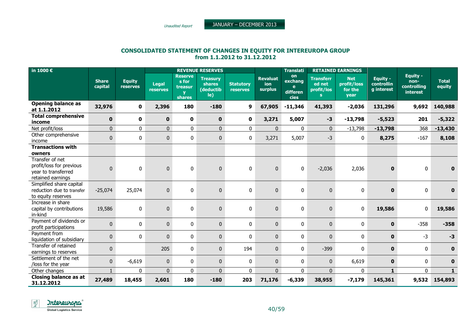Unaudited Report

JANUARY – DECEMBER <sup>2013</sup>

## CONSOLIDATED STATEMENT OF CHANGES IN EQUITY FOR INTEREUROPA GROUP from 1.1.2012 to 31.12.2012

| in 1000 €                                                                               |                         |                           |                          |                                              | <b>REVENUE RESERVES</b>                              |                              | <b>Translati</b>                  |                                               |                                                          | <b>RETAINED EARNINGS</b>                            |                                             |                                                    |                        |
|-----------------------------------------------------------------------------------------|-------------------------|---------------------------|--------------------------|----------------------------------------------|------------------------------------------------------|------------------------------|-----------------------------------|-----------------------------------------------|----------------------------------------------------------|-----------------------------------------------------|---------------------------------------------|----------------------------------------------------|------------------------|
|                                                                                         | <b>Share</b><br>capital | <b>Equity</b><br>reserves | <b>Legal</b><br>reserves | <b>Reserve</b><br>s for<br>treasur<br>shares | <b>Treasury</b><br><b>shares</b><br>(deductib<br>le) | <b>Statutory</b><br>reserves | <b>Revaluat</b><br>ion<br>surplus | on<br>exchang<br>e<br>differen<br><b>cies</b> | <b>Transferr</b><br>ed net<br>profit/los<br>$\mathbf{S}$ | <b>Net</b><br>profit/loss<br>for the<br><b>year</b> | <b>Equity -</b><br>controllin<br>q interest | Equity -<br>non-<br>controlling<br><b>interest</b> | <b>Total</b><br>equity |
| <b>Opening balance as</b><br>at 1.1.2012                                                | 32,976                  | $\bf{0}$                  | 2,396                    | 180                                          | $-180$                                               | 9                            | 67,905                            | $-11,346$                                     | 41,393                                                   | $-2,036$                                            | 131,296                                     | 9,692                                              | 140,988                |
| <b>Total comprehensive</b><br>income                                                    | $\mathbf 0$             | 0                         | $\mathbf 0$              | $\mathbf 0$                                  | $\mathbf{0}$                                         | $\mathbf 0$                  | 3,271                             | 5,007                                         | $-3$                                                     | $-13,798$                                           | $-5,523$                                    | 201                                                | $-5,322$               |
| Net profit/loss                                                                         | $\overline{0}$          | $\mathbf{0}$              | $\mathbf{0}$             | $\mathbf{0}$                                 | $\overline{0}$                                       | $\mathbf{0}$                 | $\mathbf{0}$                      | $\mathbf{0}$                                  | $\mathbf 0$                                              | $-13,798$                                           | $-13,798$                                   | 368                                                | $-13,430$              |
| Other comprehensive<br>income                                                           | $\pmb{0}$               | $\mathbf{0}$              | $\mathbf{0}$             | 0                                            | $\mathbf 0$                                          | 0                            | 3,271                             | 5,007                                         | $-3$                                                     | 0                                                   | 8,275                                       | $-167$                                             | 8,108                  |
| <b>Transactions with</b>                                                                |                         |                           |                          |                                              |                                                      |                              |                                   |                                               |                                                          |                                                     |                                             |                                                    |                        |
| owners                                                                                  |                         |                           |                          |                                              |                                                      |                              |                                   |                                               |                                                          |                                                     |                                             |                                                    |                        |
| Transfer of net<br>profit/loss for previous<br>year to transferred<br>retained earnings | $\mathbf 0$             | 0                         | $\mathbf 0$              | 0                                            | $\mathbf 0$                                          | 0                            | $\mathbf 0$                       | 0                                             | $-2,036$                                                 | 2,036                                               | $\mathbf 0$                                 | $\mathbf 0$                                        | $\mathbf 0$            |
| Simplified share capital<br>reduction due to transfer<br>to equity reserves             | $-25,074$               | 25,074                    | $\pmb{0}$                | $\pmb{0}$                                    | $\pmb{0}$                                            | 0                            | $\mathbf 0$                       | 0                                             | $\mathbf{0}$                                             | 0                                                   | $\bf{0}$                                    | 0                                                  | $\mathbf 0$            |
| Increase in share<br>capital by contributions<br>in-kind                                | 19,586                  | 0                         | $\pmb{0}$                | $\mathbf 0$                                  | $\mathbf 0$                                          | 0                            | $\mathbf 0$                       | 0                                             | $\mathbf 0$                                              | 0                                                   | 19,586                                      | 0                                                  | 19,586                 |
| Payment of dividends or<br>profit participations                                        | $\pmb{0}$               | 0                         | $\mathbf{0}$             | $\pmb{0}$                                    | $\mathbf 0$                                          | 0                            | $\mathbf 0$                       | 0                                             | $\mathbf{0}$                                             | 0                                                   | $\mathbf 0$                                 | $-358$                                             | $-358$                 |
| Payment from<br>liquidation of subsidiary                                               | $\mathbf 0$             | 0                         | $\bf{0}$                 | $\pmb{0}$                                    | $\mathbf 0$                                          | 0                            | $\mathbf 0$                       | $\pmb{0}$                                     | $\mathbf 0$                                              | $\bf{0}$                                            | $\mathbf 0$                                 | $-3$                                               | $-3$                   |
| Transfer of retained<br>earnings to reserves                                            | $\pmb{0}$               |                           | 205                      | $\pmb{0}$                                    | $\mathbf{0}$                                         | 194                          | $\mathbf{0}$                      | 0                                             | $-399$                                                   | 0                                                   | $\mathbf 0$                                 | 0                                                  | $\mathbf 0$            |
| Settlement of the net<br>/loss for the year                                             | $\pmb{0}$               | $-6,619$                  | $\bf{0}$                 | 0                                            | $\pmb{0}$                                            | 0                            | $\mathbf 0$                       | $\pmb{0}$                                     | $\mathbf 0$                                              | 6,619                                               | $\mathbf 0$                                 | 0                                                  | $\bf{0}$               |
| Other changes                                                                           | $\mathbf{1}$            | $\mathbf{0}$              | $\overline{0}$           | $\mathbf 0$                                  | $\Omega$                                             | $\mathbf{0}$                 | $\overline{0}$                    | $\mathbf{0}$                                  | $\mathbf{0}$                                             | $\mathbf{0}$                                        | $\mathbf{1}$                                | $\mathbf{0}$                                       | $\mathbf{1}$           |
| <b>Closing balance as at</b><br>31.12.2012                                              | 27,489                  | 18,455                    | 2,601                    | 180                                          | $-180$                                               | 203                          | 71,176                            | $-6,339$                                      | 38,955                                                   | $-7,179$                                            | 145,361                                     | 9,532                                              | 154,893                |

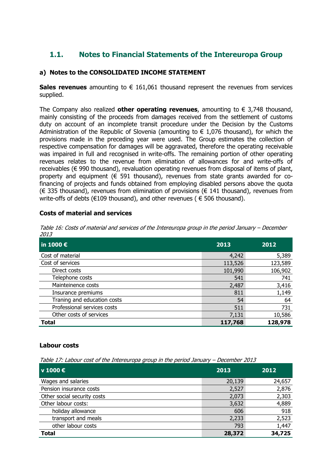## 1.1. Notes to Financial Statements of the Intereuropa Group

## a) Notes to the CONSOLIDATED INCOME STATEMENT

Sales revenues amounting to  $\epsilon$  161,061 thousand represent the revenues from services supplied.

The Company also realized **other operating revenues**, amounting to  $\epsilon$  3,748 thousand, mainly consisting of the proceeds from damages received from the settlement of customs duty on account of an incomplete transit procedure under the Decision by the Customs Administration of the Republic of Slovenia (amounting to  $\epsilon$  1,076 thousand), for which the provisions made in the preceding year were used. The Group estimates the collection of respective compensation for damages will be aggravated, therefore the operating receivable was impaired in full and recognised in write-offs. The remaining portion of other operating revenues relates to the revenue from elimination of allowances for and write-offs of receivables (€ 990 thousand), revaluation operating revenues from disposal of items of plant, property and equipment ( $\epsilon$  591 thousand), revenues from state grants awarded for cofinancing of projects and funds obtained from employing disabled persons above the quota (€ 335 thousand), revenues from elimination of provisions (€ 141 thousand), revenues from write-offs of debts ( $E109$  thousand), and other revenues ( $E506$  thousand).

#### Costs of material and services

| Table 16: Costs of material and services of the Intereuropa group in the period January - December |  |
|----------------------------------------------------------------------------------------------------|--|
| <i>2013</i>                                                                                        |  |

| in 1000 $\epsilon$          | 2013    | 2012    |
|-----------------------------|---------|---------|
| Cost of material            | 4,242   | 5,389   |
| Cost of services            | 113,526 | 123,589 |
| Direct costs                | 101,990 | 106,902 |
| Telephone costs             | 541     | 741     |
| Mainteinence costs          | 2,487   | 3,416   |
| Insurance premiums          | 811     | 1,149   |
| Traning and education costs | 54      | 64      |
| Professional services costs | 511     | 731     |
| Other costs of services     | 7,131   | 10,586  |
| <b>Total</b>                | 117,768 | 128,978 |

#### Labour costs

Table 17: Labour cost of the Intereuropa group in the period January – December 2013

| v 1000 €                    | 2013   | 2012   |
|-----------------------------|--------|--------|
| Wages and salaries          | 20,139 | 24,657 |
| Pension insurance costs     | 2,527  | 2,876  |
| Other social security costs | 2,073  | 2,303  |
| Other labour costs:         | 3,632  | 4,889  |
| holiday allowance           | 606    | 918    |
| transport and meals         | 2,233  | 2,523  |
| other labour costs          | 793    | 1,447  |
| <b>Total</b>                | 28,372 | 34,725 |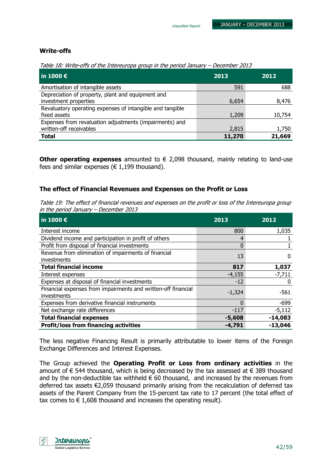#### Write-offs

Table 18: Write-offs of the Intereuropa group in the period January – December 2013

| $\vert$ in 1000 $\bm{\epsilon}$                           | 2013   | 2012   |
|-----------------------------------------------------------|--------|--------|
| Amortisation of intangible assets                         | 591    | 688    |
| Depreciation of property, plant and equipment and         |        |        |
| investment properties                                     | 6,654  | 8,476  |
| Revaluatory operating expenses of intangible and tangible |        |        |
| fixed assets                                              | 1,209  | 10,754 |
| Expenses from revaluation adjustments (impairments) and   |        |        |
| written-off receivables                                   | 2,815  | 1,750  |
| <b>Total</b>                                              | 11,270 | 21,669 |

Other operating expenses amounted to  $\epsilon$  2,098 thousand, mainly relating to land-use fees and similar expenses ( $\in$  1,199 thousand).

#### The effect of Financial Revenues and Expenses on the Profit or Loss

Table 19: The effect of financial revenues and expenses on the profit or loss of the Intereuropa group in the period January – December 2013

| in 1000 $\epsilon$                                                           | 2013     | 2012      |
|------------------------------------------------------------------------------|----------|-----------|
| Interest income                                                              | 800      | 1,035     |
| Dividend income and participation in profit of others                        | 4        |           |
| Profit from disposal of financial investments                                | $\Omega$ |           |
| Revenue from elimination of impairments of financial<br>investments          | 13       | O         |
| <b>Total financial income</b>                                                | 817      | 1,037     |
| Interest expenses                                                            | $-4,155$ | $-7,711$  |
| Expenses at disposal of financial investments                                | $-12$    |           |
| Financial expenses from impairments and written-off financial<br>investments | $-1,324$ | $-561$    |
| Expenses from derivative financial instruments                               | $\Omega$ | $-699$    |
| Net exchange rate differences                                                | $-117$   | $-5,112$  |
| <b>Total financial expenses</b>                                              | $-5,608$ | $-14,083$ |
| <b>Profit/loss from financing activities</b>                                 | -4,791   | $-13,046$ |

The less negative Financing Result is primarily attributable to lower items of the Foreign Exchange Differences and Interest Expenses.

The Group achieved the Operating Profit or Loss from ordinary activities in the amount of  $\epsilon$  544 thousand, which is being decreased by the tax assessed at  $\epsilon$  389 thousand and by the non-deductible tax withheld  $\epsilon$  60 thousand, and increased by the revenues from deferred tax assets €2,059 thousand primarily arising from the recalculation of deferred tax assets of the Parent Company from the 15-percent tax rate to 17 percent (the total effect of tax comes to  $\epsilon$  1,608 thousand and increases the operating result).

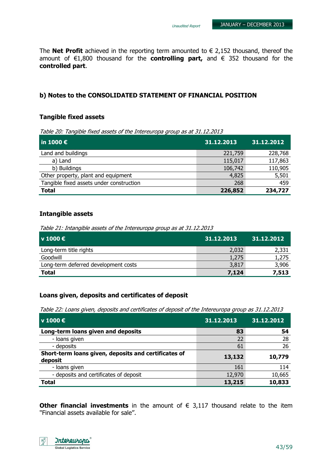The **Net Profit** achieved in the reporting term amounted to  $\epsilon$  2,152 thousand, thereof the amount of  $\epsilon$ 1,800 thousand for the **controlling part,** and  $\epsilon$  352 thousand for the controlled part.

#### b) Notes to the CONSOLIDATED STATEMENT OF FINANCIAL POSITION

#### Tangible fixed assets

Table 20: Tangible fixed assets of the Intereuropa group as at 31.12.2013

| $\ln 1000 \in$                           | 31.12.2013 | 31.12.2012 |
|------------------------------------------|------------|------------|
| Land and buildings                       | 221,759    | 228,768    |
| a) Land                                  | 115,017    | 117,863    |
| b) Buildings                             | 106,742    | 110,905    |
| Other property, plant and equipment      | 4,825      | 5,501      |
| Tangible fixed assets under construction | 268        | 459        |
| <b>Total</b>                             | 226,852    | 234,727    |

#### Intangible assets

Table 21: Intangible assets of the Intereuropa group as at 31.12.2013

| v 1000 €                             | 31.12.2013 | 31.12.2012 |
|--------------------------------------|------------|------------|
| Long-term title rights               | 2,032      | 2,331      |
| Goodwill                             | 1,275      | 1,275      |
| Long-term deferred development costs | 3,817      | 3,906      |
| <b>Total</b>                         | 7,124      | 7,513      |

#### Loans given, deposits and certificates of deposit

Table 22: Loans given, deposits and certificates of deposit of the Intereuropa group as 31.12.2013

| $\mathsf{v}$ 1000 €                                             | 31.12.2013 | 31.12.2012 |
|-----------------------------------------------------------------|------------|------------|
| Long-term loans given and deposits                              | 83         | 54         |
| - loans given                                                   | 22         | 28         |
| - deposits                                                      | 61         | 26         |
| Short-term loans given, deposits and certificates of<br>deposit | 13,132     | 10,779     |
| - loans given                                                   | 161        | 114        |
| - deposits and certificates of deposit                          | 12,970     | 10,665     |
| <b>Total</b>                                                    | 13,215     | 10,833     |

Other financial investments in the amount of  $\epsilon$  3,117 thousand relate to the item ''Financial assets available for sale''.

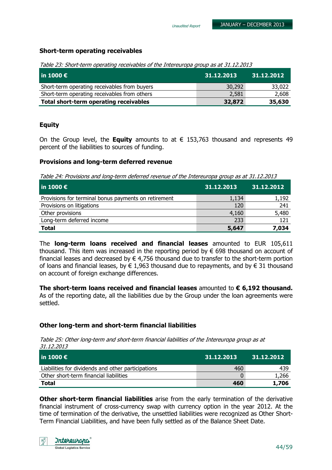#### Short-term operating receivables

Table 23: Short-term operating receivables of the Intereuropa group as at 31.12.2013

| l in 1000 €                                  | 31.12.2013 | 31.12.2012 |
|----------------------------------------------|------------|------------|
| Short-term operating receivables from buyers | 30,292     | 33,022     |
| Short-term operating receivables from others | 2,581      | 2,608      |
| Total short-term operating receivables       | 32,872     | 35,630     |

#### Equity

On the Group level, the **Equity** amounts to at  $\epsilon$  153,763 thousand and represents 49 percent of the liabilities to sources of funding.

#### Provisions and long-term deferred revenue

Table 24: Provisions and long-term deferred revenue of the Intereuropa group as at 31.12.2013

| $ $ in 1000 $\bm{\epsilon}$ ,                        | 31.12.2013 | 31.12.2012 |
|------------------------------------------------------|------------|------------|
| Provisions for terminal bonus payments on retirement | 1,134      | 1,192      |
| Provisions on litigations                            | 120        | 241        |
| Other provisions                                     | 4,160      | 5,480      |
| Long-term deferred income                            | 233        | 121        |
| <b>Total</b>                                         | 5,647      | 7,034      |

The long-term loans received and financial leases amounted to EUR 105,611 thousand. This item was increased in the reporting period by  $\epsilon$  698 thousand on account of financial leases and decreased by  $\in$  4,756 thousand due to transfer to the short-term portion of loans and financial leases, by  $\epsilon$  1,963 thousand due to repayments, and by  $\epsilon$  31 thousand on account of foreign exchange differences.

The short-term loans received and financial leases amounted to  $\epsilon$  6,192 thousand. As of the reporting date, all the liabilities due by the Group under the loan agreements were settled.

#### Other long-term and short-term financial liabilities

Table 25: Other long-term and short-term financial liabilities of the Intereuropa group as at 31.12.2013

| $ $ in 1000 € $ $                                  | 31.12.2013 | 31.12.2012 |
|----------------------------------------------------|------------|------------|
| Liabilities for dividends and other participations | 460        | 439        |
| Other short-term financial liabilities             |            | 1,266      |
| <b>Total</b>                                       | 460        | 1,706      |

**Other short-term financial liabilities** arise from the early termination of the derivative financial instrument of cross-currency swap with currency option in the year 2012. At the time of termination of the derivative, the unsettled liabilities were recognized as Other Short-Term Financial Liabilities, and have been fully settled as of the Balance Sheet Date.

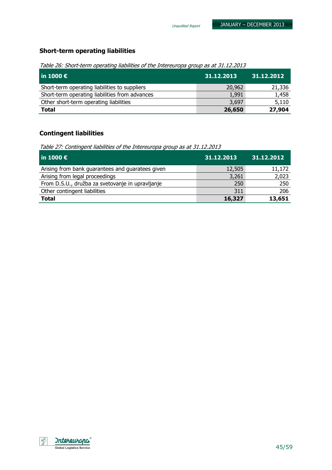## Short-term operating liabilities

Table 26: Short-term operating liabilities of the Intereuropa group as at 31.12.2013

| $\vert$ in 1000 $\bm{\epsilon}$                | 31.12.2013 | 31.12.2012 |
|------------------------------------------------|------------|------------|
| Short-term operating liabilities to suppliers  | 20,962     | 21,336     |
| Short-term operating liabilities from advances | 1,991      | 1,458      |
| Other short-term operating liabilities         | 3,697      | 5,110      |
| <b>Total</b>                                   | 26,650     | 27,904     |

#### Contingent liabilities

Table 27: Contingent liabilities of the Intereuropa group as at 31.12.2013

| $ $ in 1000 €                                    | 31.12.2013 | 31.12.2012 |
|--------------------------------------------------|------------|------------|
| Arising from bank guarantees and guaratees given | 12,505     | 11,172     |
| Arising from legal proceedings                   | 3,261      | 2,023      |
| From D.S.U., družba za svetovanje in upravljanje | 250        | 250        |
| Other contingent liabilities                     | 311        | 206        |
| <b>Total</b>                                     | 16,327     | 13,651     |

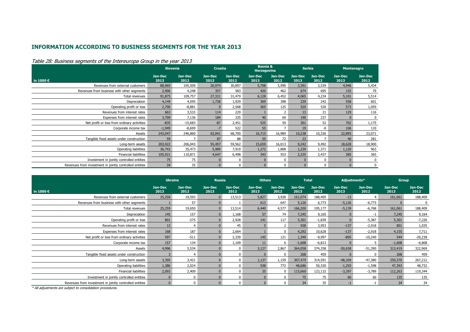#### INFORMATION ACCORDING TO BUSINESS SEGMENTS FOR THE YEAR 2013

|                                                         | <b>Slovenia</b> |                 | <b>Croatia</b>  |                 | <b>Bosnia &amp;</b><br><b>Herzegovina</b> |                 | <b>Serbia</b>   |                 | <b>Montenegro</b> |                 |
|---------------------------------------------------------|-----------------|-----------------|-----------------|-----------------|-------------------------------------------|-----------------|-----------------|-----------------|-------------------|-----------------|
| in 1000 $\epsilon$                                      | Jan-Dec<br>2013 | Jan-Dec<br>2012 | Jan-Dec<br>2013 | Jan-Dec<br>2012 | Jan-Dec<br>2013                           | Jan-Dec<br>2012 | Jan-Dec<br>2013 | Jan-Dec<br>2012 | Jan-Dec<br>2013   | Jan-Dec<br>2012 |
| Revenues from external customers                        | 88,969          | 105,509         | 26,974          | 30,897          | 5,708                                     | 5,990           | 3,391           | 3,539           | 4,946             | 5,434           |
| Revenues from business with other segments              | 2,906           | 4,248           | 357             | 583             | 420                                       | 462             | 674             | 695             | 155               | 79              |
| Total revenues                                          | 91,875          | 109,757         | 27,331          | 31,479          | 6,128                                     | 6,452           | 4,065           | 4,234           | 5,101             | 5,514           |
| Depreciation                                            | 4,149           | 4,595           | 1,728           | 1,929           | 369                                       | 398             | 239             | 242             | 558               | 601             |
| Operating profit or loss                                | 2,700           | $-8,881$        | $\Omega$        | 2,568           | 565                                       | 125             | 520             | 520             | 573               | 1,059           |
| Revenues from interest rates                            | 663             | 3,533           | 114             | 229             |                                           |                 | 13              | 21              | 129               | 116             |
| Expenses from interest rates                            | 3,709           | 7,136           | 184             | 335             | 40                                        | 69              | 190             | 237             |                   | 0               |
| Net profit or loss from ordinary activities             | $-835$          | $-15,683$       | $-87$           | 2,451           | 525                                       | 59              | 301             | 52              | 702               | 1,175           |
| Corporate income tax                                    | $-1,949$        | $-8,699$        | $-7$            | 522             | 55                                        |                 | 19              | -0              | 106               | 110             |
| Assets                                                  | 243,047         | 246,860         | 63,041          | 68,700          | 16,715                                    | 16,989          | 10,238          | 10,336          | 22,895            | 23,071          |
| Tangible fixed assets under construction                | 59              |                 | 87              | 88              | 55                                        | 72              | 23              |                 | 40                | 281             |
| Long-term assets                                        | 203,922         | 206,043         | 55,497          | 59,562          | 15,659                                    | 16,013          | 9,242           | 9,492           | 18,628            | 18,900          |
| Operating liabilities                                   | 36,742          | 35,473          | 5,989           | 7,919           | 1,272                                     | 1,808           | 1,239           | 1,371           | 1,120             | 963             |
| <b>Financial liabilities</b>                            | 105,921         | 110,871         | 4,647           | 6,498           | 343                                       | 553             | 2,235           | 2,437           | 385               | 365             |
| Investment in jointly controlled entities               | 75              | 75              | $\Omega$        | 0               | $\Omega$                                  | 0               |                 | 0               |                   | 0               |
| Revenues from investment in jointly controlled entities | 34              | 35              | $\overline{0}$  | 0               | $\overline{0}$                            | 0               | $\overline{0}$  | 0               | $\overline{0}$    | 0               |

#### Table 28: Business segments of the Intereuropa Group in the year 2013

|                                                         | <b>Ukraine</b>  |                 | <b>Russia</b>   |                 | <b>Others</b>   |                 | <b>Total</b>    |                 | Adjustments*    |                 | <b>Group</b>    |                 |
|---------------------------------------------------------|-----------------|-----------------|-----------------|-----------------|-----------------|-----------------|-----------------|-----------------|-----------------|-----------------|-----------------|-----------------|
| in 1000 €                                               | Jan-Dec<br>2013 | Jan-Dec<br>2012 | Jan-Dec<br>2013 | Jan-Dec<br>2012 | Jan-Dec<br>2013 | Jan-Dec<br>2012 | Jan-Dec<br>2013 | Jan-Dec<br>2012 | Jan-Dec<br>2013 | Jan-Dec<br>2012 | Jan-Dec<br>2013 | Jan-Dec<br>2012 |
| Revenues from external customers                        | 25,258          | 19,593          |                 | 13,513          | 5,827           | 3,930           | 161,074         | 188,405         | $-13$           | 4               | 161,061         | 188,409         |
| Revenues from business with other segments              |                 | 57              |                 |                 | 613             | 647             | 5,126           | 6,773           | $-5,126$        | $-6,773$        |                 | 0               |
| Total revenues                                          | 25,259          | 19,650          |                 | 13,514          | 6,440           | 4,577           | 166,200         | 195,177         | $-5,139$        | $-6,768$        | 161,061         | 188,409         |
| Depreciation                                            | 145             | 157             |                 | 1,168           | 57              | 74              | 7,245           | 9,165           |                 | $-1$            | 7,245           | 9,164           |
| Operating profit or loss                                | 801             | $-275$          |                 | 2,928           | 141             | 117             | 5,301           | $-1,839$        |                 | $-5,387$        | 5,301           | $-7,226$        |
| Revenues from interest rates                            | 13              | $\overline{4}$  |                 | 45              |                 |                 | 938             | 3,953           | $-137$          | $-2,918$        | 801             | 1,035           |
| Expenses from interest rates                            | 168             | 187             |                 | 2,664           |                 | $\Omega$        | 4,292           | 10,628          | $-137$          | $-2,918$        | 4,155           | 7,711           |
| Net profit or loss from ordinary activities             | 597             | $-511$          |                 | 2,339           | 145             | 121             | 1,349           | $-9,997$        | $-805$          | $-10,240$       | 544             | $-20,238$       |
| Corporate income tax                                    | 157             | 134             |                 | 1,109           | 11              | 6               | $-1,608$        | $-6,813$        |                 | 5               | $-1,608$        | $-6,808$        |
| Assets                                                  | 4,996           | 5,534           |                 | $\Omega$        | 3,127           | 2,867           | 364,058         | 374,358         | $-50,638$       | $-51,390$       | 313,419         | 322,969         |
| Tangible fixed assets under construction                |                 | $\overline{4}$  |                 | $\Omega$        |                 | $\Omega$        | 268             | 459             |                 | 0               | 268             | 459             |
| Long-term assets                                        | 3,395           | 3,421           |                 | $\Omega$        | 1,137           | 1,159           | 307,479         | 314,591         | $-48,109$       | $-47,380$       | 259,370         | 267,212         |
| Operating liabilities                                   | 1,386           | 2,024           |                 |                 | 938             | 772             | 48,686          | 50,330          | $-1,293$        | $-1,598$        | 47,393          | 48,732          |
| <b>Financial liabilities</b>                            | 2,093           | 2,409           |                 | $\Omega$        | 35              | $\Omega$        | 115,660         | 123,132         | $-3,397$        | $-3,789$        | 112,263         | 119,344         |
| Investment in jointly controlled entities               |                 | $\Omega$        |                 | $\Omega$        | $\Omega$        | $\Omega$        | 75              | 75              | 60              | 60              | 135             | 135             |
| Revenues from investment in jointly controlled entities |                 | $\Omega$        |                 | $\Omega$        | $\Omega$        | $\Omega$        | 34              | 35              | $-1$            | $-1$            | 34              | 34              |

\* All adjustments are subject to consolidation procedures.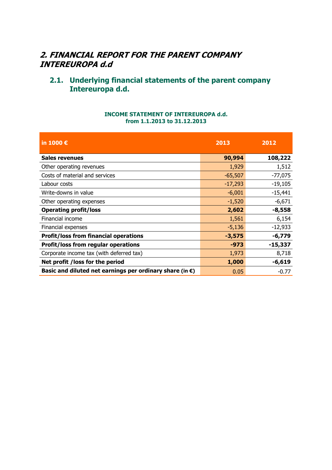## 2. FINANCIAL REPORT FOR THE PARENT COMPANY INTEREUROPA d.d

## 2.1. Underlying financial statements of the parent company Intereuropa d.d.

#### INCOME STATEMENT OF INTEREUROPA d.d. from 1.1.2013 to 31.12.2013

| in 1000 €                                                          | 2013      | 2012      |
|--------------------------------------------------------------------|-----------|-----------|
| <b>Sales revenues</b>                                              | 90,994    | 108,222   |
| Other operating revenues                                           | 1,929     | 1,512     |
| Costs of material and services                                     | $-65,507$ | $-77,075$ |
| Labour costs                                                       | $-17,293$ | $-19,105$ |
| Write-downs in value                                               | $-6,001$  | $-15,441$ |
| Other operating expenses                                           | $-1,520$  | $-6,671$  |
| <b>Operating profit/loss</b>                                       | 2,602     | $-8,558$  |
| Financial income                                                   | 1,561     | 6,154     |
| Financial expenses                                                 | $-5,136$  | $-12,933$ |
| <b>Profit/loss from financial operations</b>                       | $-3,575$  | $-6,779$  |
| <b>Profit/loss from regular operations</b>                         | -973      | $-15,337$ |
| Corporate income tax (with deferred tax)                           | 1,973     | 8,718     |
| Net profit / loss for the period                                   | 1,000     | $-6,619$  |
| Basic and diluted net earnings per ordinary share (in $\epsilon$ ) | 0.05      | $-0.77$   |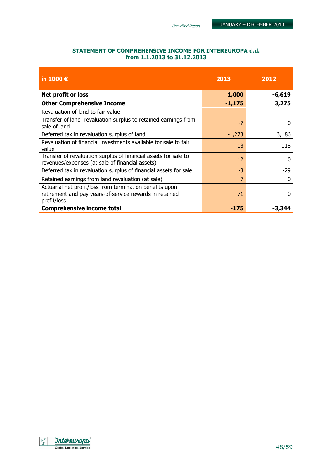| STATEMENT OF COMPREHENSIVE INCOME FOR INTEREUROPA d.d. |
|--------------------------------------------------------|
| from 1.1.2013 to 31.12.2013                            |

| in 1000 $\epsilon$                                                                                                                 | 2013     | 2012        |  |
|------------------------------------------------------------------------------------------------------------------------------------|----------|-------------|--|
| Net profit or loss                                                                                                                 | 1,000    | $-6,619$    |  |
| <b>Other Comprehensive Income</b>                                                                                                  | $-1,175$ | 3,275       |  |
| Revaluation of land to fair value                                                                                                  |          |             |  |
| Transfer of land revaluation surplus to retained earnings from<br>sale of land                                                     | $-7$     | 0           |  |
| Deferred tax in revaluation surplus of land                                                                                        | $-1,273$ | 3,186       |  |
| Revaluation of financial investments available for sale to fair<br>value                                                           | 18       | 118         |  |
| Transfer of revaluation surplus of financial assets for sale to<br>revenues/expenses (at sale of financial assets)                 | 12       | $\Omega$    |  |
| Deferred tax in revaluation surplus of financial assets for sale                                                                   | $-3$     | -29         |  |
| Retained earnings from land revaluation (at sale)                                                                                  | 7        | $\mathbf 0$ |  |
| Actuarial net profit/loss from termination benefits upon<br>retirement and pay years-of-service rewards in retained<br>profit/loss | 71       | $\Omega$    |  |
| <b>Comprehensive income total</b>                                                                                                  | -175     | -3,344      |  |

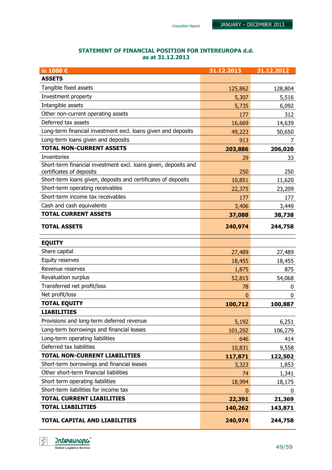#### STATEMENT OF FINANCIAL POSITION FOR INTEREUROPA d.d. as at 31.12.2013

| in 1000€                                                                                    | 31.12.2013 | 31.12.2012 |
|---------------------------------------------------------------------------------------------|------------|------------|
| <b>ASSETS</b>                                                                               |            |            |
| Tangible fixed assets                                                                       | 125,862    | 128,804    |
| Investment property                                                                         | 5,307      | 5,516      |
| Intangible assets                                                                           | 5,735      | 6,092      |
| Other non-current operating assets                                                          | 177        | 312        |
| Deferred tax assets                                                                         | 16,669     | 14,639     |
| Long-term financial investment excl. loans given and deposits                               | 49,223     | 50,650     |
| Long-term loans given and deposits                                                          | 913        | 7          |
| <b>TOTAL NON-CURRENT ASSETS</b>                                                             | 203,886    | 206,020    |
| Inventories                                                                                 | 29         | 33         |
| Short-term financial investment excl. loans given, deposits and<br>certificates of deposits | 250        | 250        |
| Short-term loans given, deposits and certificates of deposits                               | 10,851     | 11,620     |
| Short-term operating receivables                                                            | 22,375     | 23,209     |
| Short-term income tax receivables                                                           | 177        | 177        |
| Cash and cash equivalents                                                                   | 3,406      | 3,449      |
| <b>TOTAL CURRENT ASSETS</b>                                                                 | 37,088     | 38,738     |
| <b>TOTAL ASSETS</b>                                                                         | 240,974    | 244,758    |
| <b>EQUITY</b>                                                                               |            |            |
| Share capital                                                                               | 27,489     | 27,489     |
| Equity reserves                                                                             | 18,455     | 18,455     |
| Revenue reserves                                                                            | 1,875      | 875        |
| Revaluation surplus                                                                         | 52,815     | 54,068     |
| Transferred net profit/loss                                                                 | 78         | 0          |
| Net profit/loss                                                                             | 0          | 0          |
| <b>TOTAL EQUITY</b>                                                                         | 100,712    | 100,887    |
| <b>LIABILITIES</b>                                                                          |            |            |
| Provisions and long-term deferred revenue                                                   | 5,192      | 6,251      |
| Long-term borrowings and financial leases                                                   | 101,202    | 106,279    |
| Long-term operating liabilities                                                             | 646        | 414        |
| Deferred tax liabilities                                                                    | 10,831     | 9,558      |
| <b>TOTAL NON-CURRENT LIABILITIES</b>                                                        | 117,871    | 122,502    |
| Short-term borrowings and financial leases                                                  | 3,323      | 1,853      |
| Other short-term financial liabilities                                                      | 74         | 1,341      |
| Short term operating liabilities                                                            | 18,994     | 18,175     |
| Short-term liabilities for income tax                                                       | $\bf{0}$   | 0          |
| <b>TOTAL CURRENT LIABILITIES</b>                                                            | 22,391     | 21,369     |
| <b>TOTAL LIABILITIES</b>                                                                    | 140,262    | 143,871    |
| TOTAL CAPITAL AND LIABILITIES                                                               | 240,974    | 244,758    |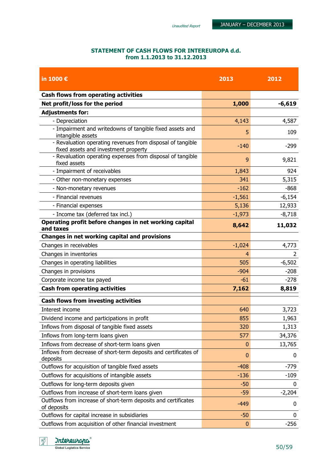#### STATEMENT OF CASH FLOWS FOR INTEREUROPA d.d. from 1.1.2013 to 31.12.2013

| in 1000€                                                                                           | 2013        | 2012        |
|----------------------------------------------------------------------------------------------------|-------------|-------------|
| Cash flows from operating activities                                                               |             |             |
| Net profit/loss for the period                                                                     | 1,000       | $-6,619$    |
| <b>Adjustments for:</b>                                                                            |             |             |
| - Depreciation                                                                                     | 4,143       | 4,587       |
| - Impairment and writedowns of tangible fixed assets and<br>intangible assets                      | 5           | 109         |
| - Revaluation operating revenues from disposal of tangible<br>fixed assets and investment property | $-140$      | $-299$      |
| - Revaluation operating expenses from disposal of tangible<br>fixed assets                         | 9           | 9,821       |
| - Impairment of receivables                                                                        | 1,843       | 924         |
| - Other non-monetary expenses                                                                      | 341         | 5,315       |
| - Non-monetary revenues                                                                            | $-162$      | $-868$      |
| - Financial revenues                                                                               | $-1,561$    | $-6,154$    |
| - Financial expenses                                                                               | 5,136       | 12,933      |
| - Income tax (deferred tax incl.)                                                                  | $-1,973$    | $-8,718$    |
| Operating profit before changes in net working capital<br>and taxes                                | 8,642       | 11,032      |
| Changes in net working capital and provisions                                                      |             |             |
| Changes in receivables                                                                             | $-1,024$    | 4,773       |
| Changes in inventories                                                                             | 4           | 2           |
| Changes in operating liabilities                                                                   | 505         | $-6,502$    |
| Changes in provisions                                                                              | $-904$      | $-208$      |
| Corporate income tax payed                                                                         | $-61$       | $-278$      |
| <b>Cash from operating activities</b>                                                              | 7,162       | 8,819       |
| <b>Cash flows from investing activities</b>                                                        |             |             |
| Interest income                                                                                    | 640         | 3,723       |
| Dividend income and participations in profit                                                       | 855         | 1,963       |
| Inflows from disposal of tangible fixed assets                                                     | 320         | 1,313       |
| Inflows from long-term loans given                                                                 | 577         | 34,376      |
| Inflows from decrease of short-term loans given                                                    | $\mathbf 0$ | 13,765      |
| Inflows from decrease of short-term deposits and certificates of<br>deposits                       | 0           | 0           |
| Outflows for acquisition of tangible fixed assets                                                  | $-408$      | $-779$      |
| Outflows for acquisitions of intangible assets                                                     | $-136$      | $-109$      |
| Outflows for long-term deposits given                                                              | $-50$       | 0           |
| Outflows from increase of short-term loans given                                                   | $-59$       | $-2,204$    |
| Outflows from increase of short-term deposits and certificates<br>of deposits                      | $-449$      | 0           |
| Outflows for capital increase in subsidiaries                                                      | $-50$       | $\mathbf 0$ |
| Outflows from acquisition of other financial investment                                            | $\bf{0}$    | $-256$      |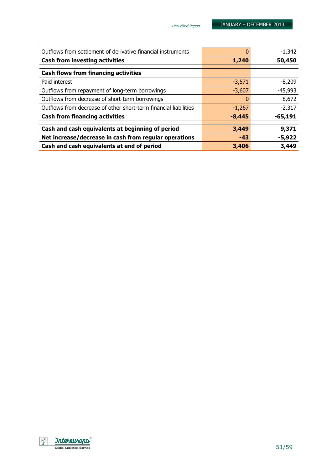| Cash and cash equivalents at end of period                       | 3,406    | 3,449     |
|------------------------------------------------------------------|----------|-----------|
| Net increase/decrease in cash from regular operations            | $-43$    | $-5,922$  |
| Cash and cash equivalents at beginning of period                 | 3,449    | 9,371     |
| <b>Cash from financing activities</b>                            | $-8,445$ | $-65,191$ |
| Outflows from decrease of other short-term financial liabilities | $-1,267$ | $-2,317$  |
| Outflows from decrease of short-term borrowings                  |          | $-8,672$  |
| Outflows from repayment of long-term borrowings                  | $-3,607$ | $-45,993$ |
| Paid interest                                                    | $-3,571$ | $-8,209$  |
| <b>Cash flows from financing activities</b>                      |          |           |
| <b>Cash from investing activities</b>                            | 1,240    | 50,450    |
|                                                                  |          |           |
| Outflows from settlement of derivative financial instruments     |          | $-1,342$  |

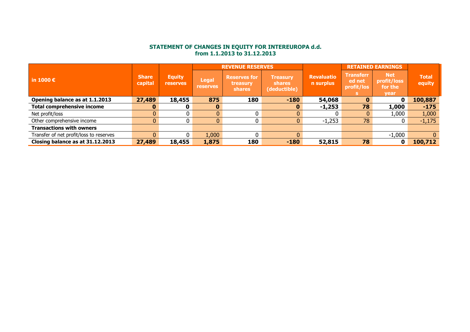## STATEMENT OF CHANGES IN EQUITY FOR INTEREUROPA d.d. from 1.1.2013 to 31.12.2013

|                                         |                         |                                  |                                 | <b>REVENUE RESERVES</b>                          |                                                  | <b>RETAINED EARNINGS</b>       |                                          |                                                     |                        |
|-----------------------------------------|-------------------------|----------------------------------|---------------------------------|--------------------------------------------------|--------------------------------------------------|--------------------------------|------------------------------------------|-----------------------------------------------------|------------------------|
| in 1000 $\epsilon$                      | <b>Share</b><br>capital | <b>Equity</b><br><b>reserves</b> | <b>Legal</b><br><b>reserves</b> | <b>Reserves for</b><br>treasury<br><b>shares</b> | <b>Treasury</b><br><b>shares</b><br>(deductible) | <b>Revaluatio</b><br>n surplus | <b>Transferr</b><br>ed net<br>profit/los | <b>Net</b><br>profit/loss<br>for the<br><b>vear</b> | <b>Total</b><br>equity |
| Opening balance as at 1.1.2013          | 27,489                  | 18,455                           | 875                             | 180                                              | $-180$                                           | 54,068                         | $\bf{0}$                                 | 0                                                   | 100,887                |
| <b>Total comprehensive income</b>       | $\mathbf{0}$            |                                  |                                 |                                                  |                                                  | $-1,253$                       | 78                                       | 1,000                                               | $-175$                 |
| Net profit/loss                         |                         |                                  | $\mathbf{0}$                    |                                                  |                                                  |                                |                                          | 1,000                                               | 1,000                  |
| Other comprehensive income              |                         |                                  | 0                               |                                                  |                                                  | $-1,253$                       | 78                                       |                                                     | $-1,175$               |
| <b>Transactions with owners</b>         |                         |                                  |                                 |                                                  |                                                  |                                |                                          |                                                     |                        |
| Transfer of net profit/loss to reserves |                         |                                  | 1,000                           |                                                  |                                                  |                                |                                          | $-1,000$                                            | $\Omega$               |
| Closing balance as at 31.12.2013        | 27,489                  | 18,455                           | 1,875                           | 180                                              | $-180$                                           | 52,815                         | 78                                       | 0                                                   | 100,712                |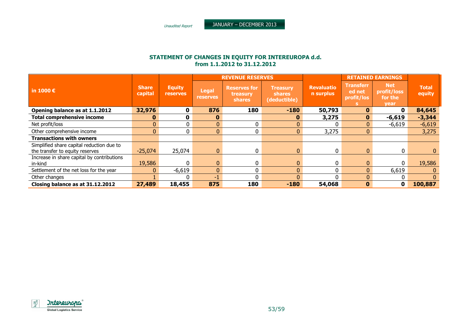## STATEMENT OF CHANGES IN EQUITY FOR INTEREUROPA d.d. from 1.1.2012 to 31.12.2012

|                                                                              |                         |                                  |                                 | <b>REVENUE RESERVES</b>                          |                                           | <b>RETAINED EARNINGS</b>       |                                          |                                              |                        |
|------------------------------------------------------------------------------|-------------------------|----------------------------------|---------------------------------|--------------------------------------------------|-------------------------------------------|--------------------------------|------------------------------------------|----------------------------------------------|------------------------|
| in 1000 $\epsilon$                                                           | <b>Share</b><br>capital | <b>Equity</b><br><b>reserves</b> | <b>Legal</b><br><b>reserves</b> | <b>Reserves for</b><br>treasury<br><b>shares</b> | Treasury<br><b>shares</b><br>(deductible) | <b>Revaluatio</b><br>n surplus | <b>Transferr</b><br>ed net<br>profit/los | <b>Net</b><br>profit/loss<br>for the<br>year | <b>Total</b><br>equity |
| Opening balance as at 1.1.2012                                               | 32,976                  | 0                                | 876                             | 180                                              | $-180$                                    | 50,793                         | 0                                        | 0                                            | 84,645                 |
| <b>Total comprehensive income</b>                                            | $\mathbf{0}$            | 0                                | $\bf{0}$                        |                                                  | O                                         | 3,275                          | $\mathbf{0}$                             | $-6,619$                                     | $-3,344$               |
| Net profit/loss                                                              | $\mathbf{0}$            |                                  | $\mathbf{0}$                    |                                                  | 0                                         |                                | $\mathbf{0}$                             | $-6,619$                                     | $-6,619$               |
| Other comprehensive income                                                   | 0                       | 0                                | $\mathbf{0}$                    | 0                                                | 0                                         | 3,275                          | $\mathbf{0}$                             |                                              | 3,275                  |
| <b>Transactions with owners</b>                                              |                         |                                  |                                 |                                                  |                                           |                                |                                          |                                              |                        |
| Simplified share capital reduction due to<br>the transfer to equity reserves | $-25,074$               | 25,074                           | $\mathbf{0}$                    | $\Omega$                                         | 0                                         | 0                              | $\mathbf{0}$                             | 0                                            | $\overline{0}$         |
| Increase in share capital by contributions<br>in-kind                        | 19,586                  | 0                                | $\mathbf{0}$                    |                                                  |                                           |                                | $\mathbf{0}$                             | 0                                            | 19,586                 |
| Settlement of the net loss for the year                                      | $\Omega$                | $-6,619$                         | $\mathbf{0}$                    | 0                                                | $\Omega$                                  |                                | $\Omega$                                 | 6,619                                        | $\Omega$               |
| Other changes                                                                |                         |                                  | -1                              |                                                  | 0                                         |                                | $\Omega$                                 |                                              | $\Omega$               |
| Closing balance as at 31.12.2012                                             | 27,489                  | 18,455                           | 875                             | 180                                              | $-180$                                    | 54,068                         | $\mathbf{0}$                             | 0                                            | 100,887                |

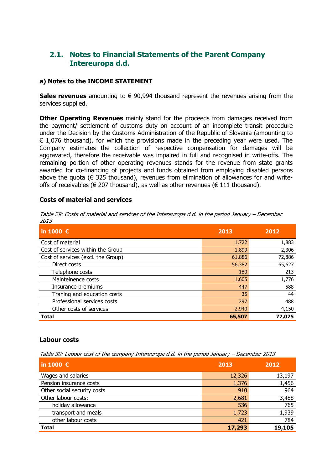## 2.1. Notes to Financial Statements of the Parent Company Intereuropa d.d.

#### a) Notes to the INCOME STATEMENT

Sales revenues amounting to  $\epsilon$  90,994 thousand represent the revenues arising from the services supplied.

**Other Operating Revenues** mainly stand for the proceeds from damages received from the payment/ settlement of customs duty on account of an incomplete transit procedure under the Decision by the Customs Administration of the Republic of Slovenia (amounting to  $\epsilon$  1,076 thousand), for which the provisions made in the preceding year were used. The Company estimates the collection of respective compensation for damages will be aggravated, therefore the receivable was impaired in full and recognised in write-offs. The remaining portion of other operating revenues stands for the revenue from state grants awarded for co-financing of projects and funds obtained from employing disabled persons above the quota ( $\epsilon$  325 thousand), revenues from elimination of allowances for and writeoffs of receivables ( $\in$  207 thousand), as well as other revenues ( $\in$  111 thousand).

#### Costs of material and services

| Table 29: Costs of material and services of the Intereuropa d.d. in the period January - December |  |
|---------------------------------------------------------------------------------------------------|--|
| 2013                                                                                              |  |

| in 1000 $\epsilon$                 | 2013   | 2012   |
|------------------------------------|--------|--------|
| Cost of material                   | 1,722  | 1,883  |
| Cost of services within the Group  | 1,899  | 2,306  |
| Cost of services (excl. the Group) | 61,886 | 72,886 |
| Direct costs                       | 56,382 | 65,627 |
| Telephone costs                    | 180    | 213    |
| Mainteinence costs                 | 1,605  | 1,776  |
| Insurance premiums                 | 447    | 588    |
| Traning and education costs        | 35     | 44     |
| Professional services costs        | 297    | 488    |
| Other costs of services            | 2,940  | 4,150  |
| <b>Total</b>                       | 65,507 | 77,075 |

#### Labour costs

Table 30: Labour cost of the company Intereuropa d.d. in the period January – December 2013

| in 1000 $\epsilon$          | 2013   | 2012   |
|-----------------------------|--------|--------|
| Wages and salaries          | 12,326 | 13,197 |
| Pension insurance costs     | 1,376  | 1,456  |
| Other social security costs | 910    | 964    |
| Other labour costs:         | 2,681  | 3,488  |
| holiday allowance           | 536    | 765    |
| transport and meals         | 1,723  | 1,939  |
| other labour costs          | 421    | 784    |
| <b>Total</b>                | 17,293 | 19,105 |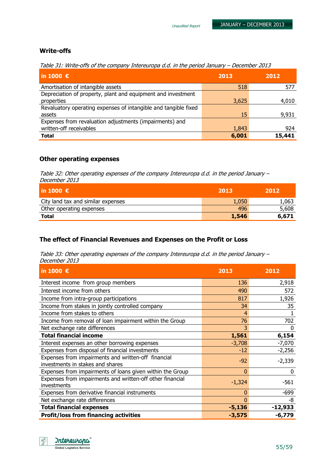#### Write-offs

Table 31: Write-offs of the company Intereuropa d.d. in the period January – December 2013

| in 1000 $\epsilon$                                              | 2013  | 2012   |
|-----------------------------------------------------------------|-------|--------|
| Amortisation of intangible assets                               | 518   | 577    |
| Depreciation of property, plant and equipment and investment    |       |        |
| properties                                                      | 3,625 | 4,010  |
| Revaluatory operating expenses of intangible and tangible fixed |       |        |
| assets                                                          | 15    | 9,931  |
| Expenses from revaluation adjustments (impairments) and         |       |        |
| written-off receivables                                         | 1,843 | 924    |
| <b>Total</b>                                                    | 6,001 | 15,441 |

#### Other operating expenses

Table 32: Other operating expenses of the company Intereuropa d.d. in the period January – December 2013

| $ $ in 1000 €                      | 2013  | 2012  |
|------------------------------------|-------|-------|
| City land tax and similar expenses | 1,050 | 1,063 |
| Other operating expenses           | 496   | 5,608 |
| <b>Total</b>                       | 1,546 | 6,671 |

### The effect of Financial Revenues and Expenses on the Profit or Loss

Table 33: Other operating expenses of the company Intereuropa d.d. in the period January – December 2013

| in 1000 $\epsilon$                                                                      | 2013     | 2012      |
|-----------------------------------------------------------------------------------------|----------|-----------|
| Interest income from group members                                                      | 136      | 2,918     |
| Interest income from others                                                             | 490      | 572       |
| Income from intra-group participations                                                  | 817      | 1,926     |
| Income from stakes in jointly controlled company                                        | 34       | 35        |
| Income from stakes to others                                                            | 4        |           |
| Income from removal of loan impairment within the Group                                 | 76       | 702       |
| Net exchange rate differences                                                           | 3        | O         |
| <b>Total financial income</b>                                                           | 1,561    | 6,154     |
| Interest expenses an other borrowing expenses                                           | $-3,708$ | $-7,070$  |
| Expenses from disposal of financial investments                                         | $-12$    | $-2,256$  |
| Expenses from impairments and written-off financial<br>investments in stakes and shares | $-92$    | $-2,339$  |
| Expenses from impairments of loans given within the Group                               | $\bf{0}$ | 0         |
| Expenses from impairments and written-off other financial<br>investments                | $-1,324$ | $-561$    |
| Expenses from derivative financial instruments                                          | 0        | $-699$    |
| Net exchange rate differences                                                           | 0        | -8        |
| <b>Total financial expenses</b>                                                         | $-5,136$ | $-12,933$ |
| <b>Profit/loss from financing activities</b>                                            | $-3,575$ | $-6,779$  |

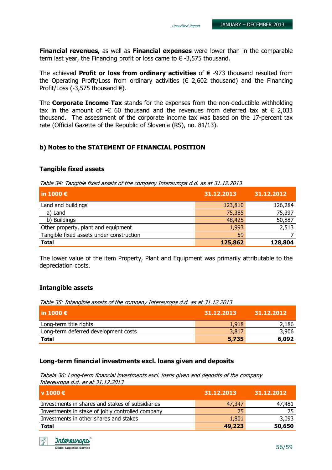Financial revenues, as well as Financial expenses were lower than in the comparable term last year, the Financing profit or loss came to  $\epsilon$  -3,575 thousand.

The achieved **Profit or loss from ordinary activities** of  $\epsilon$  -973 thousand resulted from the Operating Profit/Loss from ordinary activities ( $\epsilon$  2,602 thousand) and the Financing Profit/Loss (-3,575 thousand  $\epsilon$ ).

The **Corporate Income Tax** stands for the expenses from the non-deductible withholding tax in the amount of - $\epsilon$  60 thousand and the revenues from deferred tax at  $\epsilon$  2,033 thousand. The assessment of the corporate income tax was based on the 17-percent tax rate (Official Gazette of the Republic of Slovenia (RS), no. 81/13).

#### b) Notes to the STATEMENT OF FINANCIAL POSITION

#### Tangible fixed assets

Table 34: Tangible fixed assets of the company Intereuropa d.d. as at 31.12.2013

| $\vert$ in 1000 $\epsilon$               | 31.12.2013 | 31.12.2012 |
|------------------------------------------|------------|------------|
| Land and buildings                       | 123,810    | 126,284    |
| a) Land                                  | 75,385     | 75,397     |
| b) Buildings                             | 48,425     | 50,887     |
| Other property, plant and equipment      | 1,993      | 2,513      |
| Tangible fixed assets under construction | 59         |            |
| <b>Total</b>                             | 125,862    | 128,804    |

The lower value of the item Property, Plant and Equipment was primarily attributable to the depreciation costs.

#### Intangible assets

Table 35: Intangible assets of the company Intereuropa d.d. as at 31.12.2013

| l in 1000 €                          | 31.12.2013 | 31.12.2012 |
|--------------------------------------|------------|------------|
| Long-term title rights               | 1,918      | 2,186      |
| Long-term deferred development costs | 3,817      | 3,906      |
| <b>Total</b>                         | 5,735      | 6,092      |

#### Long-term financial investments excl. loans given and deposits

Tabela 36: Long-term financial investments excl. loans given and deposits of the company Intereuropa d.d. as at 31.12.2013

| l v 1000 €                                        | 31.12.2013 | 31.12.2012 |
|---------------------------------------------------|------------|------------|
| Investments in shares and stakes of subsidiaries  | 47,347     | 47,481     |
| Investments in stake of joitly controlled company | 75         | 75         |
| Investments in other shares and stakes            | 1,801      | 3,093      |
| <b>Total</b>                                      | 49,223     | 50,650     |

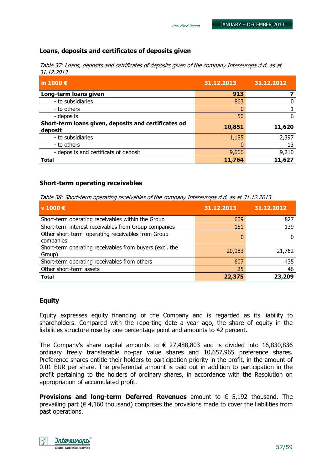## Loans, deposits and certificates of deposits given

Table 37: Loans, deposits and cetrificates of deposits given of the company Intereuropa d.d. as at 31.12.2013

Unaudited Report

| in 1000 €                                                       | 31.12.2013 | 31.12.2012 |
|-----------------------------------------------------------------|------------|------------|
| Long-term loans given                                           | 913        |            |
| - to subsidiaries                                               | 863        | 0          |
| - to others                                                     |            |            |
| - deposits                                                      | 50         | 6          |
| Short-term loans given, deposits and certificates od<br>deposit | 10,851     | 11,620     |
| - to subsidiaries                                               | 1,185      | 2,397      |
| - to others                                                     | 0          | 13         |
| - deposits and certificats of deposit                           | 9,666      | 9,210      |
| <b>Total</b>                                                    | 11,764     | 11,627     |

#### Short-term operating receivables

Table 38: Short-term operating receivables of the company Intereuropa d.d. as at 31.12.2013

| v 1000 €                                                          | 31.12.2013 | 31.12.2012 |
|-------------------------------------------------------------------|------------|------------|
| Short-term operating receivables within the Group                 | 609        | 827        |
| Short-term interest receivables from Group companies              | 151        | 139        |
| Other short-term operating receivables from Group<br>companies    |            | 0          |
| Short-term operating receivables from buyers (excl. the<br>Group) | 20,983     | 21,762     |
| Short-term operating receivables from others                      | 607        | 435        |
| Other short-term assets                                           | 25         | 46         |
| <b>Total</b>                                                      | 22,375     | 23,209     |

#### Equity

Equity expresses equity financing of the Company and is regarded as its liability to shareholders. Compared with the reporting date a year ago, the share of equity in the liabilities structure rose by one percentage point and amounts to 42 percent.

The Company's share capital amounts to  $\epsilon$  27,488,803 and is divided into 16,830,836 ordinary freely transferable no-par value shares and 10,657,965 preference shares. Preference shares entitle their holders to participation priority in the profit, in the amount of 0.01 EUR per share. The preferential amount is paid out in addition to participation in the profit pertaining to the holders of ordinary shares, in accordance with the Resolution on appropriation of accumulated profit.

**Provisions and long-term Deferred Revenues** amount to  $\epsilon$  5,192 thousand. The prevailing part ( $\epsilon$  4,160 thousand) comprises the provisions made to cover the liabilities from past operations.

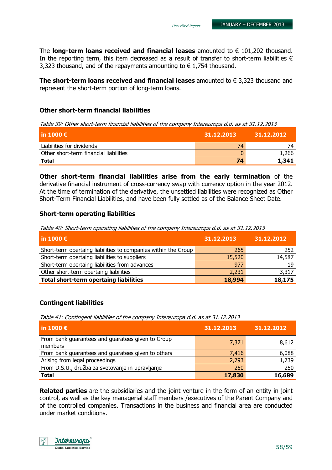The **long-term loans received and financial leases** amounted to  $\epsilon$  101,202 thousand. In the reporting term, this item decreased as a result of transfer to short-term liabilities  $\epsilon$ 3,323 thousand, and of the repayments amounting to  $\epsilon$  1,754 thousand.

The short-term loans received and financial leases amounted to  $\epsilon$  3,323 thousand and represent the short-term portion of long-term loans.

#### Other short-term financial liabilities

Table 39: Other short-term financial liabilities of the company Intereuropa d.d. as at 31.12.2013

| l in 1000 € $^{\circ}$                 | 31.12.2013 | 31.12.2012 |
|----------------------------------------|------------|------------|
| Liabilities for dividends              | 74         |            |
| Other short-term financial liabilities |            | 1,266      |
| <b>Total</b>                           | 74         | 1,341      |

Other short-term financial liabilities arise from the early termination of the derivative financial instrument of cross-currency swap with currency option in the year 2012. At the time of termination of the derivative, the unsettled liabilities were recognized as Other Short-Term Financial Liabilities, and have been fully settled as of the Balance Sheet Date.

#### Short-term operating liabilities

Table 40: Short-term operating liabilities of the company Intereuropa d.d. as at 31.12.2013

| in 1000 $\epsilon$                                             | 31.12.2013 | 31.12.2012 |
|----------------------------------------------------------------|------------|------------|
| Short-term opertaing liabilities to companies within the Group | 265        | 252        |
| Short-term opertaing liabilities to suppliers                  | 15,520     | 14,587     |
| Short-term opertaing liabilities from advances                 | 977        | 19         |
| Other short-term opertaing liabilities                         | 2,231      | 3,317      |
| <b>Total short-term opertaing liabilities</b>                  | 18,994     | 18,175     |

#### Contingent liabilities

Table 41: Contingent liabilities of the company Intereuropa d.d. as at 31.12.2013

| in 1000 $\epsilon$                                           | 31.12.2013 | 31.12.2012 |
|--------------------------------------------------------------|------------|------------|
| From bank guarantees and guaratees given to Group<br>members | 7,371      | 8,612      |
| From bank guarantees and guaratees given to others           | 7,416      | 6,088      |
| Arising from legal proceedings                               | 2,793      | 1,739      |
| From D.S.U., družba za svetovanje in upravljanje             | 250        | 250        |
| <b>Total</b>                                                 | 17,830     | 16,689     |

**Related parties** are the subsidiaries and the joint venture in the form of an entity in joint control, as well as the key managerial staff members /executives of the Parent Company and of the controlled companies. Transactions in the business and financial area are conducted under market conditions.